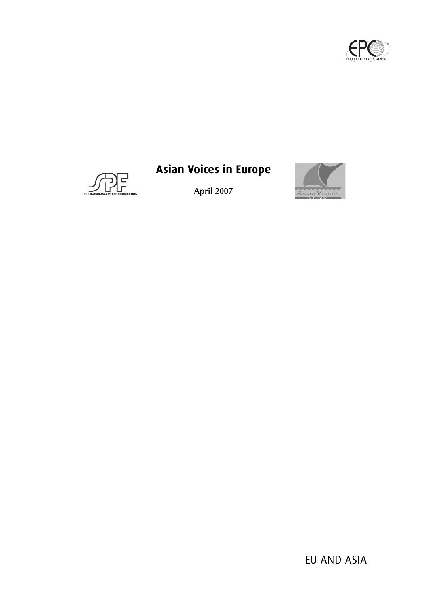



# **Asian Voices in Europe**

**April 2007**

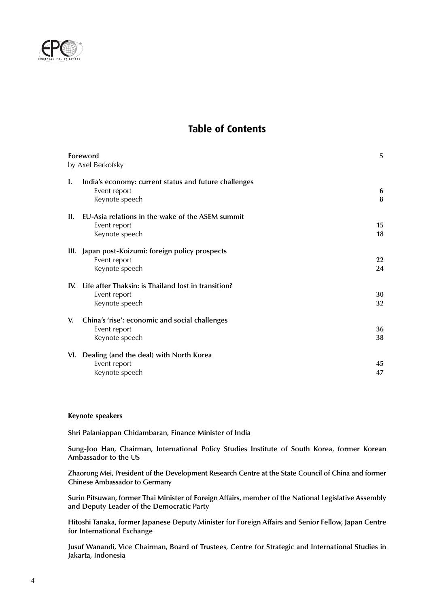

## **Table of Contents**

| Foreword<br>by Axel Berkofsky |                                                       | 5         |
|-------------------------------|-------------------------------------------------------|-----------|
|                               |                                                       |           |
| I.                            | India's economy: current status and future challenges |           |
|                               | Event report                                          | 6         |
|                               | Keynote speech                                        | $\bf{8}$  |
| II.                           | EU-Asia relations in the wake of the ASEM summit      |           |
|                               | Event report                                          | 15        |
|                               | Keynote speech                                        | 18        |
|                               | III. Japan post-Koizumi: foreign policy prospects     |           |
|                               | Event report                                          | <b>22</b> |
|                               | Keynote speech                                        | 24        |
| IV.                           | Life after Thaksin: is Thailand lost in transition?   |           |
|                               | Event report                                          | 30        |
|                               | Keynote speech                                        | 32        |
| V.                            | China's 'rise': economic and social challenges        |           |
|                               | Event report                                          | 36        |
|                               | Keynote speech                                        | 38        |
|                               | VI. Dealing (and the deal) with North Korea           |           |
|                               | Event report                                          | 45        |
|                               | Keynote speech                                        | 47        |
|                               |                                                       |           |

#### **Keynote speakers**

**Shri Palaniappan Chidambaran, Finance Minister of India**

**Sung-Joo Han, Chairman, International Policy Studies Institute of South Korea, former Korean Ambassador to the US**

**Zhaorong Mei, President of the Development Research Centre at the State Council of China and former Chinese Ambassador to Germany**

**Surin Pitsuwan, former Thai Minister of Foreign Affairs, member of the National Legislative Assembly and Deputy Leader of the Democratic Party**

**Hitoshi Tanaka, former Japanese Deputy Minister for Foreign Affairs and Senior Fellow, Japan Centre for International Exchange**

**Jusuf Wanandi, Vice Chairman, Board of Trustees, Centre for Strategic and International Studies in Jakarta, Indonesia**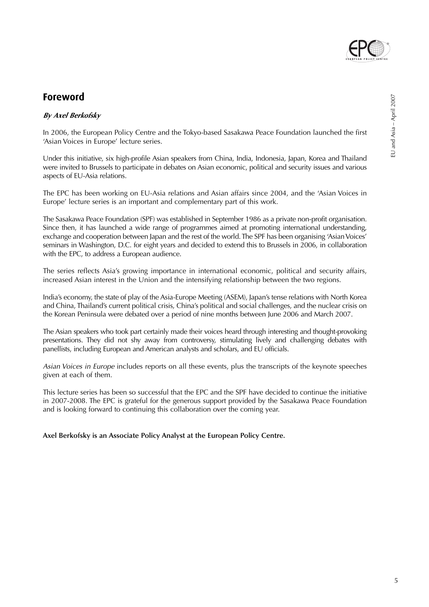

## **Foreword**

### **By Axel Berkofsky**

In 2006, the European Policy Centre and the Tokyo-based Sasakawa Peace Foundation launched the first 'Asian Voices in Europe' lecture series.

Under this initiative, six high-profile Asian speakers from China, India, Indonesia, Japan, Korea and Thailand were invited to Brussels to participate in debates on Asian economic, political and security issues and various aspects of EU-Asia relations.

The EPC has been working on EU-Asia relations and Asian affairs since 2004, and the 'Asian Voices in Europe' lecture series is an important and complementary part of this work.

The Sasakawa Peace Foundation (SPF) was established in September 1986 as a private non-profit organisation. Since then, it has launched a wide range of programmes aimed at promoting international understanding, exchange and cooperation between Japan and the rest of the world. The SPF has been organising 'Asian Voices' seminars in Washington, D.C. for eight years and decided to extend this to Brussels in 2006, in collaboration with the EPC, to address a European audience.

The series reflects Asia's growing importance in international economic, political and security affairs, increased Asian interest in the Union and the intensifying relationship between the two regions.

India's economy, the state of play of the Asia-Europe Meeting (ASEM), Japan's tense relations with North Korea and China, Thailand's current political crisis, China's political and social challenges, and the nuclear crisis on the Korean Peninsula were debated over a period of nine months between June 2006 and March 2007.

The Asian speakers who took part certainly made their voices heard through interesting and thought-provoking presentations. They did not shy away from controversy, stimulating lively and challenging debates with panellists, including European and American analysts and scholars, and EU officials.

Asian Voices in Europe includes reports on all these events, plus the transcripts of the keynote speeches given at each of them.

This lecture series has been so successful that the EPC and the SPF have decided to continue the initiative in 2007-2008. The EPC is grateful for the generous support provided by the Sasakawa Peace Foundation and is looking forward to continuing this collaboration over the coming year.

**Axel Berkofsky is an Associate Policy Analyst at the European Policy Centre.**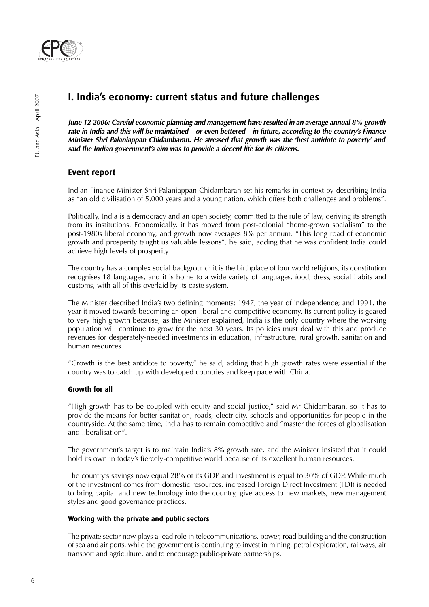

## **I. India's economy: current status and future challenges**

**June 12 2006: Careful economic planning and management have resulted in an average annual 8% growth rate in India and this will be maintained – or even bettered – in future, according to the country's Finance Minister Shri Palaniappan Chidambaran. He stressed that growth was the 'best antidote to poverty' and said the Indian government's aim was to provide a decent life for its citizens.**

## **Event report**

Indian Finance Minister Shri Palaniappan Chidambaran set his remarks in context by describing India as "an old civilisation of 5,000 years and a young nation, which offers both challenges and problems".

Politically, India is a democracy and an open society, committed to the rule of law, deriving its strength from its institutions. Economically, it has moved from post-colonial "home-grown socialism" to the post-1980s liberal economy, and growth now averages 8% per annum. "This long road of economic growth and prosperity taught us valuable lessons", he said, adding that he was confident India could achieve high levels of prosperity.

The country has a complex social background: it is the birthplace of four world religions, its constitution recognises 18 languages, and it is home to a wide variety of languages, food, dress, social habits and customs, with all of this overlaid by its caste system.

The Minister described India's two defining moments: 1947, the year of independence; and 1991, the year it moved towards becoming an open liberal and competitive economy. Its current policy is geared to very high growth because, as the Minister explained, India is the only country where the working population will continue to grow for the next 30 years. Its policies must deal with this and produce revenues for desperately-needed investments in education, infrastructure, rural growth, sanitation and human resources.

"Growth is the best antidote to poverty," he said, adding that high growth rates were essential if the country was to catch up with developed countries and keep pace with China.

#### **Growth for all**

"High growth has to be coupled with equity and social justice," said Mr Chidambaran, so it has to provide the means for better sanitation, roads, electricity, schools and opportunities for people in the countryside. At the same time, India has to remain competitive and "master the forces of globalisation and liberalisation".

The government's target is to maintain India's 8% growth rate, and the Minister insisted that it could hold its own in today's fiercely-competitive world because of its excellent human resources.

The country's savings now equal 28% of its GDP and investment is equal to 30% of GDP. While much of the investment comes from domestic resources, increased Foreign Direct Investment (FDI) is needed to bring capital and new technology into the country, give access to new markets, new management styles and good governance practices.

#### **Working with the private and public sectors**

The private sector now plays a lead role in telecommunications, power, road building and the construction of sea and air ports, while the government is continuing to invest in mining, petrol exploration, railways, air transport and agriculture, and to encourage public-private partnerships.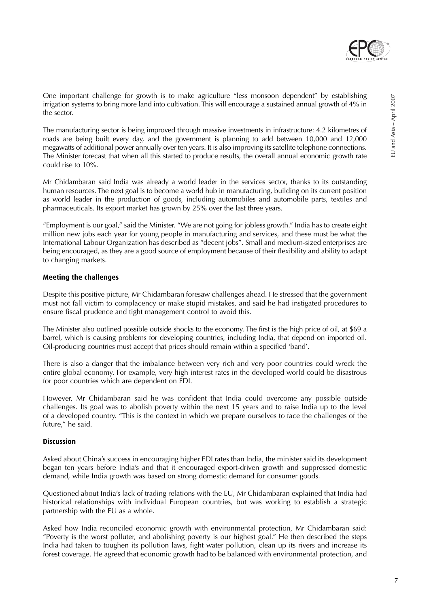

One important challenge for growth is to make agriculture "less monsoon dependent" by establishing irrigation systems to bring more land into cultivation. This will encourage a sustained annual growth of 4% in the sector.

The manufacturing sector is being improved through massive investments in infrastructure: 4.2 kilometres of roads are being built every day, and the government is planning to add between 10,000 and 12,000 megawatts of additional power annually over ten years. It is also improving its satellite telephone connections. The Minister forecast that when all this started to produce results, the overall annual economic growth rate could rise to 10%.

Mr Chidambaran said India was already a world leader in the services sector, thanks to its outstanding human resources. The next goal is to become a world hub in manufacturing, building on its current position as world leader in the production of goods, including automobiles and automobile parts, textiles and pharmaceuticals. Its export market has grown by 25% over the last three years.

"Employment is our goal," said the Minister. "We are not going for jobless growth." India has to create eight million new jobs each year for young people in manufacturing and services, and these must be what the International Labour Organization has described as "decent jobs". Small and medium-sized enterprises are being encouraged, as they are a good source of employment because of their flexibility and ability to adapt to changing markets.

#### **Meeting the challenges**

Despite this positive picture, Mr Chidambaran foresaw challenges ahead. He stressed that the government must not fall victim to complacency or make stupid mistakes, and said he had instigated procedures to ensure fiscal prudence and tight management control to avoid this.

The Minister also outlined possible outside shocks to the economy. The first is the high price of oil, at \$69 a barrel, which is causing problems for developing countries, including India, that depend on imported oil. Oil-producing countries must accept that prices should remain within a specified 'band'.

There is also a danger that the imbalance between very rich and very poor countries could wreck the entire global economy. For example, very high interest rates in the developed world could be disastrous for poor countries which are dependent on FDI.

However, Mr Chidambaran said he was confident that India could overcome any possible outside challenges. Its goal was to abolish poverty within the next 15 years and to raise India up to the level of a developed country. "This is the context in which we prepare ourselves to face the challenges of the future." he said.

#### **Discussion**

Asked about China's success in encouraging higher FDI rates than India, the minister said its development began ten years before India's and that it encouraged export-driven growth and suppressed domestic demand, while India growth was based on strong domestic demand for consumer goods.

Questioned about India's lack of trading relations with the EU, Mr Chidambaran explained that India had historical relationships with individual European countries, but was working to establish a strategic partnership with the EU as a whole.

Asked how India reconciled economic growth with environmental protection, Mr Chidambaran said: "Poverty is the worst polluter, and abolishing poverty is our highest goal." He then described the steps India had taken to toughen its pollution laws, fight water pollution, clean up its rivers and increase its forest coverage. He agreed that economic growth had to be balanced with environmental protection, and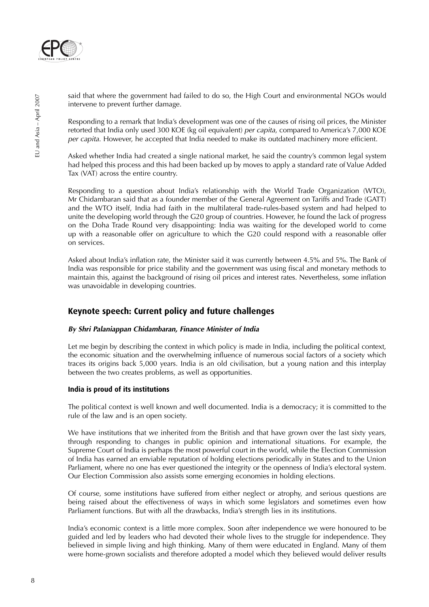

said that where the government had failed to do so, the High Court and environmental NGOs would intervene to prevent further damage.

Responding to a remark that India's development was one of the causes of rising oil prices, the Minister retorted that India only used 300 KOE (kg oil equivalent) per capita, compared to America's 7,000 KOE per capita. However, he accepted that India needed to make its outdated machinery more efficient.

Asked whether India had created a single national market, he said the country's common legal system had helped this process and this had been backed up by moves to apply a standard rate of Value Added Tax (VAT) across the entire country.

Responding to a question about India's relationship with the World Trade Organization (WTO), Mr Chidambaran said that as a founder member of the General Agreement on Tariffs and Trade (GATT) and the WTO itself, India had faith in the multilateral trade-rules-based system and had helped to unite the developing world through the G20 group of countries. However, he found the lack of progress on the Doha Trade Round very disappointing: India was waiting for the developed world to come up with a reasonable offer on agriculture to which the G20 could respond with a reasonable offer on services.

Asked about India's inflation rate, the Minister said it was currently between 4.5% and 5%. The Bank of India was responsible for price stability and the government was using fiscal and monetary methods to maintain this, against the background of rising oil prices and interest rates. Nevertheless, some inflation was unavoidable in developing countries.

## **Keynote speech: Current policy and future challenges**

#### **By Shri Palaniappan Chidambaran, Finance Minister of India**

Let me begin by describing the context in which policy is made in India, including the political context, the economic situation and the overwhelming influence of numerous social factors of a society which traces its origins back 5,000 years. India is an old civilisation, but a young nation and this interplay between the two creates problems, as well as opportunities.

#### **India is proud of its institutions**

The political context is well known and well documented. India is a democracy; it is committed to the rule of the law and is an open society.

We have institutions that we inherited from the British and that have grown over the last sixty years, through responding to changes in public opinion and international situations. For example, the Supreme Court of India is perhaps the most powerful court in the world, while the Election Commission of India has earned an enviable reputation of holding elections periodically in States and to the Union Parliament, where no one has ever questioned the integrity or the openness of India's electoral system. Our Election Commission also assists some emerging economies in holding elections.

Of course, some institutions have suffered from either neglect or atrophy, and serious questions are being raised about the effectiveness of ways in which some legislators and sometimes even how Parliament functions. But with all the drawbacks, India's strength lies in its institutions.

India's economic context is a little more complex. Soon after independence we were honoured to be guided and led by leaders who had devoted their whole lives to the struggle for independence. They believed in simple living and high thinking. Many of them were educated in England. Many of them were home-grown socialists and therefore adopted a model which they believed would deliver results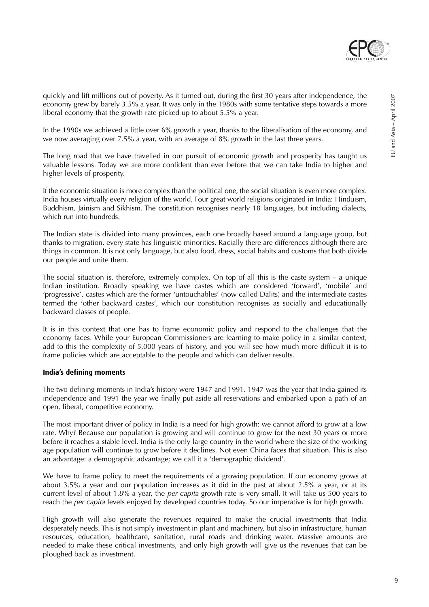

quickly and lift millions out of poverty. As it turned out, during the first 30 years after independence, the economy grew by barely 3.5% a year. It was only in the 1980s with some tentative steps towards a more liberal economy that the growth rate picked up to about 5.5% a year.

In the 1990s we achieved a little over 6% growth a year, thanks to the liberalisation of the economy, and we now averaging over 7.5% a year, with an average of 8% growth in the last three years.

The long road that we have travelled in our pursuit of economic growth and prosperity has taught us valuable lessons. Today we are more confident than ever before that we can take India to higher and higher levels of prosperity.

If the economic situation is more complex than the political one, the social situation is even more complex. India houses virtually every religion of the world. Four great world religions originated in India: Hinduism, Buddhism, Jainism and Sikhism. The constitution recognises nearly 18 languages, but including dialects, which run into hundreds.

The Indian state is divided into many provinces, each one broadly based around a language group, but thanks to migration, every state has linguistic minorities. Racially there are differences although there are things in common. It is not only language, but also food, dress, social habits and customs that both divide our people and unite them.

The social situation is, therefore, extremely complex. On top of all this is the caste system – a unique Indian institution. Broadly speaking we have castes which are considered 'forward', 'mobile' and 'progressive', castes which are the former 'untouchables' (now called Dalits) and the intermediate castes termed the 'other backward castes', which our constitution recognises as socially and educationally backward classes of people.

It is in this context that one has to frame economic policy and respond to the challenges that the economy faces. While your European Commissioners are learning to make policy in a similar context, add to this the complexity of 5,000 years of history, and you will see how much more difficult it is to frame policies which are acceptable to the people and which can deliver results.

#### **India's defining moments**

The two defining moments in India's history were 1947 and 1991. 1947 was the year that India gained its independence and 1991 the year we finally put aside all reservations and embarked upon a path of an open, liberal, competitive economy.

The most important driver of policy in India is a need for high growth: we cannot afford to grow at a low rate. Why? Because our population is growing and will continue to grow for the next 30 years or more before it reaches a stable level. India is the only large country in the world where the size of the working age population will continue to grow before it declines. Not even China faces that situation. This is also an advantage: a demographic advantage; we call it a 'demographic dividend'.

We have to frame policy to meet the requirements of a growing population. If our economy grows at about 3.5% a year and our population increases as it did in the past at about 2.5% a year, or at its current level of about 1.8% a year, the per capita growth rate is very small. It will take us 500 years to reach the per capita levels enjoyed by developed countries today. So our imperative is for high growth.

High growth will also generate the revenues required to make the crucial investments that India desperately needs. This is not simply investment in plant and machinery, but also in infrastructure, human resources, education, healthcare, sanitation, rural roads and drinking water. Massive amounts are needed to make these critical investments, and only high growth will give us the revenues that can be ploughed back as investment.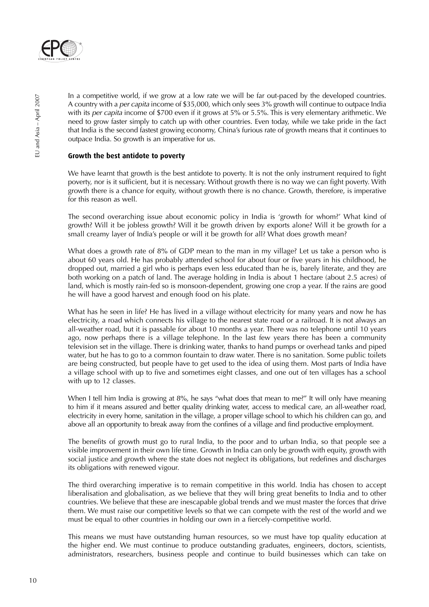

In a competitive world, if we grow at a low rate we will be far out-paced by the developed countries. A country with a per capita income of \$35,000, which only sees 3% growth will continue to outpace India with its per capita income of \$700 even if it grows at 5% or 5.5%. This is very elementary arithmetic. We need to grow faster simply to catch up with other countries. Even today, while we take pride in the fact that India is the second fastest growing economy, China's furious rate of growth means that it continues to outpace India. So growth is an imperative for us.

#### **Growth the best antidote to poverty**

We have learnt that growth is the best antidote to poverty. It is not the only instrument required to fight poverty, nor is it sufficient, but it is necessary. Without growth there is no way we can fight poverty. With growth there is a chance for equity, without growth there is no chance. Growth, therefore, is imperative for this reason as well.

The second overarching issue about economic policy in India is 'growth for whom?' What kind of growth? Will it be jobless growth? Will it be growth driven by exports alone? Will it be growth for a small creamy layer of India's people or will it be growth for all? What does growth mean?

What does a growth rate of 8% of GDP mean to the man in my village? Let us take a person who is about 60 years old. He has probably attended school for about four or five years in his childhood, he dropped out, married a girl who is perhaps even less educated than he is, barely literate, and they are both working on a patch of land. The average holding in India is about 1 hectare (about 2.5 acres) of land, which is mostly rain-fed so is monsoon-dependent, growing one crop a year. If the rains are good he will have a good harvest and enough food on his plate.

What has he seen in life? He has lived in a village without electricity for many years and now he has electricity, a road which connects his village to the nearest state road or a railroad. It is not always an all-weather road, but it is passable for about 10 months a year. There was no telephone until 10 years ago, now perhaps there is a village telephone. In the last few years there has been a community television set in the village. There is drinking water, thanks to hand pumps or overhead tanks and piped water, but he has to go to a common fountain to draw water. There is no sanitation. Some public toilets are being constructed, but people have to get used to the idea of using them. Most parts of India have a village school with up to five and sometimes eight classes, and one out of ten villages has a school with up to 12 classes.

When I tell him India is growing at 8%, he says "what does that mean to me?" It will only have meaning to him if it means assured and better quality drinking water, access to medical care, an all-weather road, electricity in every home, sanitation in the village, a proper village school to which his children can go, and above all an opportunity to break away from the confines of a village and find productive employment.

The benefits of growth must go to rural India, to the poor and to urban India, so that people see a visible improvement in their own life time. Growth in India can only be growth with equity, growth with social justice and growth where the state does not neglect its obligations, but redefines and discharges its obligations with renewed vigour.

The third overarching imperative is to remain competitive in this world. India has chosen to accept liberalisation and globalisation, as we believe that they will bring great benefits to India and to other countries. We believe that these are inescapable global trends and we must master the forces that drive them. We must raise our competitive levels so that we can compete with the rest of the world and we must be equal to other countries in holding our own in a fiercely-competitive world.

This means we must have outstanding human resources, so we must have top quality education at the higher end. We must continue to produce outstanding graduates, engineers, doctors, scientists, administrators, researchers, business people and continue to build businesses which can take on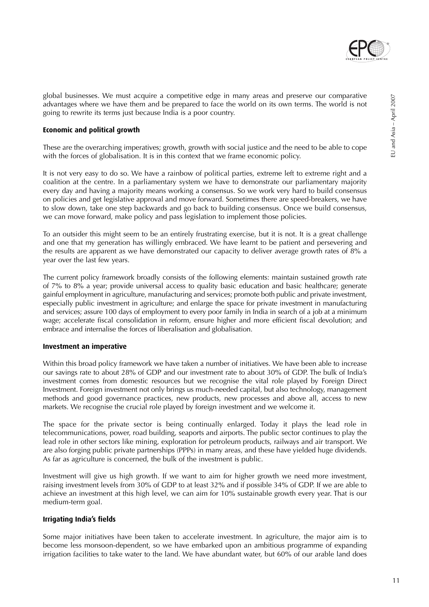

#### **Economic and political growth**

These are the overarching imperatives; growth, growth with social justice and the need to be able to cope with the forces of globalisation. It is in this context that we frame economic policy.

It is not very easy to do so. We have a rainbow of political parties, extreme left to extreme right and a coalition at the centre. In a parliamentary system we have to demonstrate our parliamentary majority every day and having a majority means working a consensus. So we work very hard to build consensus on policies and get legislative approval and move forward. Sometimes there are speed-breakers, we have to slow down, take one step backwards and go back to building consensus. Once we build consensus, we can move forward, make policy and pass legislation to implement those policies.

To an outsider this might seem to be an entirely frustrating exercise, but it is not. It is a great challenge and one that my generation has willingly embraced. We have learnt to be patient and persevering and the results are apparent as we have demonstrated our capacity to deliver average growth rates of 8% a year over the last few years.

The current policy framework broadly consists of the following elements: maintain sustained growth rate of 7% to 8% a year; provide universal access to quality basic education and basic healthcare; generate gainful employment in agriculture, manufacturing and services; promote both public and private investment, especially public investment in agriculture; and enlarge the space for private investment in manufacturing and services; assure 100 days of employment to every poor family in India in search of a job at a minimum wage; accelerate fiscal consolidation in reform, ensure higher and more efficient fiscal devolution; and embrace and internalise the forces of liberalisation and globalisation.

#### **Investment an imperative**

Within this broad policy framework we have taken a number of initiatives. We have been able to increase our savings rate to about 28% of GDP and our investment rate to about 30% of GDP. The bulk of India's investment comes from domestic resources but we recognise the vital role played by Foreign Direct Investment. Foreign investment not only brings us much-needed capital, but also technology, management methods and good governance practices, new products, new processes and above all, access to new markets. We recognise the crucial role played by foreign investment and we welcome it.

The space for the private sector is being continually enlarged. Today it plays the lead role in telecommunications, power, road building, seaports and airports. The public sector continues to play the lead role in other sectors like mining, exploration for petroleum products, railways and air transport. We are also forging public private partnerships (PPPs) in many areas, and these have yielded huge dividends. As far as agriculture is concerned, the bulk of the investment is public.

Investment will give us high growth. If we want to aim for higher growth we need more investment, raising investment levels from 30% of GDP to at least 32% and if possible 34% of GDP. If we are able to achieve an investment at this high level, we can aim for 10% sustainable growth every year. That is our medium-term goal.

#### **Irrigating India's fields**

Some major initiatives have been taken to accelerate investment. In agriculture, the major aim is to become less monsoon-dependent, so we have embarked upon an ambitious programme of expanding irrigation facilities to take water to the land. We have abundant water, but 60% of our arable land does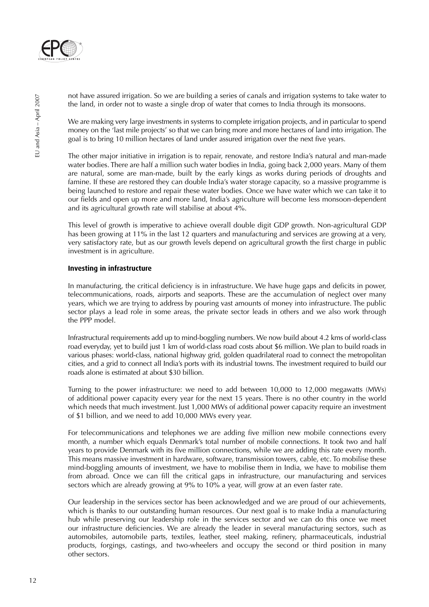

not have assured irrigation. So we are building a series of canals and irrigation systems to take water to the land, in order not to waste a single drop of water that comes to India through its monsoons.

We are making very large investments in systems to complete irrigation projects, and in particular to spend money on the 'last mile projects' so that we can bring more and more hectares of land into irrigation. The goal is to bring 10 million hectares of land under assured irrigation over the next five years.

The other major initiative in irrigation is to repair, renovate, and restore India's natural and man-made water bodies. There are half a million such water bodies in India, going back 2,000 years. Many of them are natural, some are man-made, built by the early kings as works during periods of droughts and famine. If these are restored they can double India's water storage capacity, so a massive programme is being launched to restore and repair these water bodies. Once we have water which we can take it to our fields and open up more and more land, India's agriculture will become less monsoon-dependent and its agricultural growth rate will stabilise at about 4%.

This level of growth is imperative to achieve overall double digit GDP growth. Non-agricultural GDP has been growing at 11% in the last 12 quarters and manufacturing and services are growing at a very, very satisfactory rate, but as our growth levels depend on agricultural growth the first charge in public investment is in agriculture.

#### **Investing in infrastructure**

In manufacturing, the critical deficiency is in infrastructure. We have huge gaps and deficits in power, telecommunications, roads, airports and seaports. These are the accumulation of neglect over many years, which we are trying to address by pouring vast amounts of money into infrastructure. The public sector plays a lead role in some areas, the private sector leads in others and we also work through the PPP model.

Infrastructural requirements add up to mind-boggling numbers. We now build about 4.2 kms of world-class road everyday, yet to build just 1 km of world-class road costs about \$6 million. We plan to build roads in various phases: world-class, national highway grid, golden quadrilateral road to connect the metropolitan cities, and a grid to connect all India's ports with its industrial towns. The investment required to build our roads alone is estimated at about \$30 billion.

Turning to the power infrastructure: we need to add between 10,000 to 12,000 megawatts (MWs) of additional power capacity every year for the next 15 years. There is no other country in the world which needs that much investment. Just 1,000 MWs of additional power capacity require an investment of \$1 billion, and we need to add 10,000 MWs every year.

For telecommunications and telephones we are adding five million new mobile connections every month, a number which equals Denmark's total number of mobile connections. It took two and half years to provide Denmark with its five million connections, while we are adding this rate every month. This means massive investment in hardware, software, transmission towers, cable, etc. To mobilise these mind-boggling amounts of investment, we have to mobilise them in India, we have to mobilise them from abroad. Once we can fill the critical gaps in infrastructure, our manufacturing and services sectors which are already growing at 9% to 10% a year, will grow at an even faster rate.

Our leadership in the services sector has been acknowledged and we are proud of our achievements, which is thanks to our outstanding human resources. Our next goal is to make India a manufacturing hub while preserving our leadership role in the services sector and we can do this once we meet our infrastructure deficiencies. We are already the leader in several manufacturing sectors, such as automobiles, automobile parts, textiles, leather, steel making, refinery, pharmaceuticals, industrial products, forgings, castings, and two-wheelers and occupy the second or third position in many other sectors.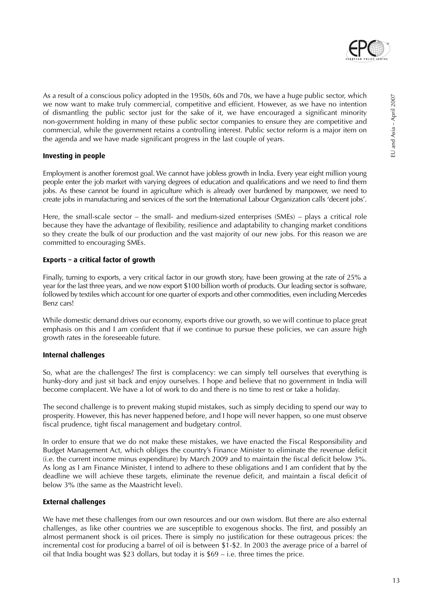

As a result of a conscious policy adopted in the 1950s, 60s and 70s, we have a huge public sector, which we now want to make truly commercial, competitive and efficient. However, as we have no intention of dismantling the public sector just for the sake of it, we have encouraged a significant minority non-government holding in many of these public sector companies to ensure they are competitive and commercial, while the government retains a controlling interest. Public sector reform is a major item on the agenda and we have made significant progress in the last couple of years.

#### **Investing in people**

Employment is another foremost goal. We cannot have jobless growth in India. Every year eight million young people enter the job market with varying degrees of education and qualifications and we need to find them jobs. As these cannot be found in agriculture which is already over burdened by manpower, we need to create jobs in manufacturing and services of the sort the International Labour Organization calls 'decent jobs'.

Here, the small-scale sector – the small- and medium-sized enterprises (SMEs) – plays a critical role because they have the advantage of flexibility, resilience and adaptability to changing market conditions so they create the bulk of our production and the vast majority of our new jobs. For this reason we are committed to encouraging SMEs.

#### **Exports – a critical factor of growth**

Finally, turning to exports, a very critical factor in our growth story, have been growing at the rate of 25% a year for the last three years, and we now export \$100 billion worth of products. Our leading sector is software, followed by textiles which account for one quarter of exports and other commodities, even including Mercedes Benz cars!

While domestic demand drives our economy, exports drive our growth, so we will continue to place great emphasis on this and I am confident that if we continue to pursue these policies, we can assure high growth rates in the foreseeable future.

### **Internal challenges**

So, what are the challenges? The first is complacency: we can simply tell ourselves that everything is hunky-dory and just sit back and enjoy ourselves. I hope and believe that no government in India will become complacent. We have a lot of work to do and there is no time to rest or take a holiday.

The second challenge is to prevent making stupid mistakes, such as simply deciding to spend our way to prosperity. However, this has never happened before, and I hope will never happen, so one must observe fiscal prudence, tight fiscal management and budgetary control.

In order to ensure that we do not make these mistakes, we have enacted the Fiscal Responsibility and Budget Management Act, which obliges the country's Finance Minister to eliminate the revenue deficit (i.e. the current income minus expenditure) by March 2009 and to maintain the fiscal deficit below 3%. As long as I am Finance Minister, I intend to adhere to these obligations and I am confident that by the deadline we will achieve these targets, eliminate the revenue deficit, and maintain a fiscal deficit of below 3% (the same as the Maastricht level).

### **External challenges**

We have met these challenges from our own resources and our own wisdom. But there are also external challenges, as like other countries we are susceptible to exogenous shocks. The first, and possibly an almost permanent shock is oil prices. There is simply no justification for these outrageous prices: the incremental cost for producing a barrel of oil is between \$1-\$2. In 2003 the average price of a barrel of oil that India bought was \$23 dollars, but today it is  $$69 - i.e.$  three times the price.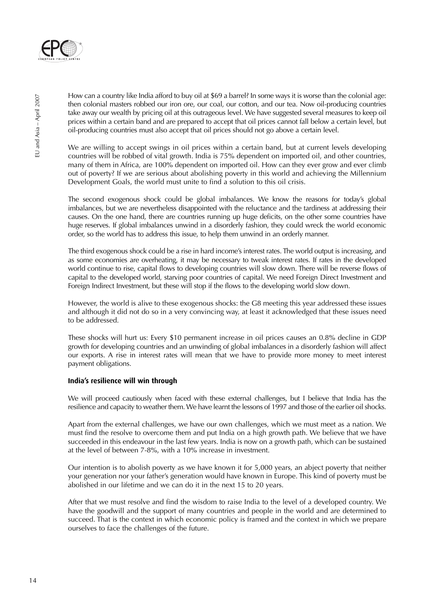

How can a country like India afford to buy oil at \$69 a barrel? In some ways it is worse than the colonial age: then colonial masters robbed our iron ore, our coal, our cotton, and our tea. Now oil-producing countries take away our wealth by pricing oil at this outrageous level. We have suggested several measures to keep oil prices within a certain band and are prepared to accept that oil prices cannot fall below a certain level, but oil-producing countries must also accept that oil prices should not go above a certain level.

We are willing to accept swings in oil prices within a certain band, but at current levels developing countries will be robbed of vital growth. India is 75% dependent on imported oil, and other countries, many of them in Africa, are 100% dependent on imported oil. How can they ever grow and ever climb out of poverty? If we are serious about abolishing poverty in this world and achieving the Millennium Development Goals, the world must unite to find a solution to this oil crisis.

The second exogenous shock could be global imbalances. We know the reasons for today's global imbalances, but we are nevertheless disappointed with the reluctance and the tardiness at addressing their causes. On the one hand, there are countries running up huge deficits, on the other some countries have huge reserves. If global imbalances unwind in a disorderly fashion, they could wreck the world economic order, so the world has to address this issue, to help them unwind in an orderly manner.

The third exogenous shock could be a rise in hard income's interest rates. The world output is increasing, and as some economies are overheating, it may be necessary to tweak interest rates. If rates in the developed world continue to rise, capital flows to developing countries will slow down. There will be reverse flows of capital to the developed world, starving poor countries of capital. We need Foreign Direct Investment and Foreign Indirect Investment, but these will stop if the flows to the developing world slow down.

However, the world is alive to these exogenous shocks: the G8 meeting this year addressed these issues and although it did not do so in a very convincing way, at least it acknowledged that these issues need to be addressed.

These shocks will hurt us: Every \$10 permanent increase in oil prices causes an 0.8% decline in GDP growth for developing countries and an unwinding of global imbalances in a disorderly fashion will affect our exports. A rise in interest rates will mean that we have to provide more money to meet interest payment obligations.

#### **India's resilience will win through**

We will proceed cautiously when faced with these external challenges, but I believe that India has the resilience and capacity to weather them. We have learnt the lessons of 1997 and those of the earlier oil shocks.

Apart from the external challenges, we have our own challenges, which we must meet as a nation. We must find the resolve to overcome them and put India on a high growth path. We believe that we have succeeded in this endeavour in the last few years. India is now on a growth path, which can be sustained at the level of between 7-8%, with a 10% increase in investment.

Our intention is to abolish poverty as we have known it for 5,000 years, an abject poverty that neither your generation nor your father's generation would have known in Europe. This kind of poverty must be abolished in our lifetime and we can do it in the next 15 to 20 years.

After that we must resolve and find the wisdom to raise India to the level of a developed country. We have the goodwill and the support of many countries and people in the world and are determined to succeed. That is the context in which economic policy is framed and the context in which we prepare ourselves to face the challenges of the future.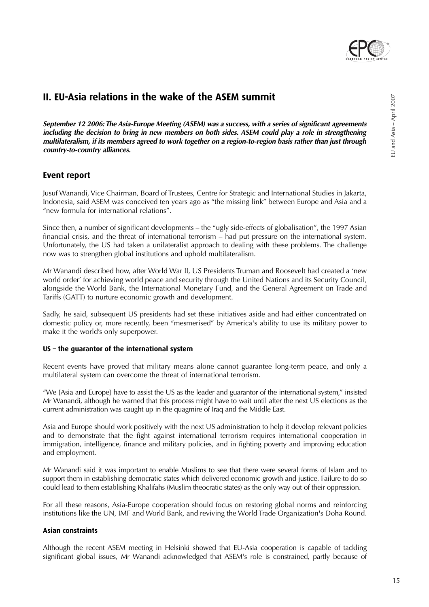

## **II. EU-Asia relations in the wake of the ASEM summit**

**September 12 2006: The Asia-Europe Meeting (ASEM) was a success, with a series of significant agreements including the decision to bring in new members on both sides. ASEM could play a role in strengthening multilateralism, if its members agreed to work together on a region-to-region basis rather than just through country-to-country alliances.**

## **Event report**

Jusuf Wanandi, Vice Chairman, Board of Trustees, Centre for Strategic and International Studies in Jakarta, Indonesia, said ASEM was conceived ten years ago as "the missing link" between Europe and Asia and a "new formula for international relations".

Since then, a number of significant developments – the "ugly side-effects of globalisation", the 1997 Asian financial crisis, and the threat of international terrorism – had put pressure on the international system. Unfortunately, the US had taken a unilateralist approach to dealing with these problems. The challenge now was to strengthen global institutions and uphold multilateralism.

Mr Wanandi described how, after World War II, US Presidents Truman and Roosevelt had created a 'new world order' for achieving world peace and security through the United Nations and its Security Council, alongside the World Bank, the International Monetary Fund, and the General Agreement on Trade and Tariffs (GATT) to nurture economic growth and development.

Sadly, he said, subsequent US presidents had set these initiatives aside and had either concentrated on domestic policy or, more recently, been "mesmerised" by America's ability to use its military power to make it the world's only superpower.

#### **US – the guarantor of the international system**

Recent events have proved that military means alone cannot guarantee long-term peace, and only a multilateral system can overcome the threat of international terrorism.

"We [Asia and Europe] have to assist the US as the leader and guarantor of the international system," insisted Mr Wanandi, although he warned that this process might have to wait until after the next US elections as the current administration was caught up in the quagmire of Iraq and the Middle East.

Asia and Europe should work positively with the next US administration to help it develop relevant policies and to demonstrate that the fight against international terrorism requires international cooperation in immigration, intelligence, finance and military policies, and in fighting poverty and improving education and employment.

Mr Wanandi said it was important to enable Muslims to see that there were several forms of Islam and to support them in establishing democratic states which delivered economic growth and justice. Failure to do so could lead to them establishing Khalifahs (Muslim theocratic states) as the only way out of their oppression.

For all these reasons, Asia-Europe cooperation should focus on restoring global norms and reinforcing institutions like the UN, IMF and World Bank, and reviving the World Trade Organization's Doha Round.

#### **Asian constraints**

Although the recent ASEM meeting in Helsinki showed that EU-Asia cooperation is capable of tackling significant global issues, Mr Wanandi acknowledged that ASEM's role is constrained, partly because of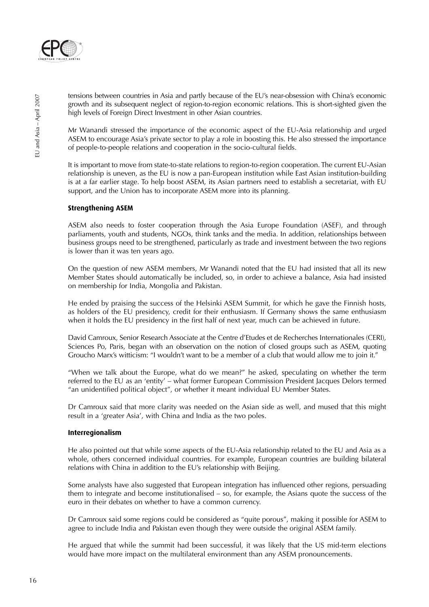

tensions between countries in Asia and partly because of the EU's near-obsession with China's economic growth and its subsequent neglect of region-to-region economic relations. This is short-sighted given the high levels of Foreign Direct Investment in other Asian countries.

Mr Wanandi stressed the importance of the economic aspect of the EU-Asia relationship and urged ASEM to encourage Asia's private sector to play a role in boosting this. He also stressed the importance of people-to-people relations and cooperation in the socio-cultural fields.

It is important to move from state-to-state relations to region-to-region cooperation. The current EU-Asian relationship is uneven, as the EU is now a pan-European institution while East Asian institution-building is at a far earlier stage. To help boost ASEM, its Asian partners need to establish a secretariat, with EU support, and the Union has to incorporate ASEM more into its planning.

#### **Strengthening ASEM**

ASEM also needs to foster cooperation through the Asia Europe Foundation (ASEF), and through parliaments, youth and students, NGOs, think tanks and the media. In addition, relationships between business groups need to be strengthened, particularly as trade and investment between the two regions is lower than it was ten years ago.

On the question of new ASEM members, Mr Wanandi noted that the EU had insisted that all its new Member States should automatically be included, so, in order to achieve a balance, Asia had insisted on membership for India, Mongolia and Pakistan.

He ended by praising the success of the Helsinki ASEM Summit, for which he gave the Finnish hosts, as holders of the EU presidency, credit for their enthusiasm. If Germany shows the same enthusiasm when it holds the EU presidency in the first half of next year, much can be achieved in future.

David Camroux, Senior Research Associate at the Centre d'Etudes et de Recherches Internationales (CERI), Sciences Po, Paris, began with an observation on the notion of closed groups such as ASEM, quoting Groucho Marx's witticism: "I wouldn't want to be a member of a club that would allow me to join it."

"When we talk about the Europe, what do we mean?" he asked, speculating on whether the term referred to the EU as an 'entity' – what former European Commission President Jacques Delors termed "an unidentified political object", or whether it meant individual EU Member States.

Dr Camroux said that more clarity was needed on the Asian side as well, and mused that this might result in a 'greater Asia', with China and India as the two poles.

#### **Interregionalism**

He also pointed out that while some aspects of the EU-Asia relationship related to the EU and Asia as a whole, others concerned individual countries. For example, European countries are building bilateral relations with China in addition to the EU's relationship with Beijing.

Some analysts have also suggested that European integration has influenced other regions, persuading them to integrate and become institutionalised – so, for example, the Asians quote the success of the euro in their debates on whether to have a common currency.

Dr Camroux said some regions could be considered as "quite porous", making it possible for ASEM to agree to include India and Pakistan even though they were outside the original ASEM family.

He argued that while the summit had been successful, it was likely that the US mid-term elections would have more impact on the multilateral environment than any ASEM pronouncements.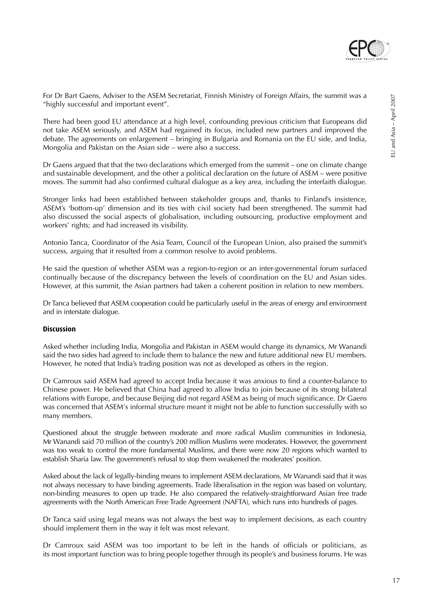

For Dr Bart Gaens, Adviser to the ASEM Secretariat, Finnish Ministry of Foreign Affairs, the summit was a "highly successful and important event".

There had been good EU attendance at a high level, confounding previous criticism that Europeans did not take ASEM seriously, and ASEM had regained its focus, included new partners and improved the debate. The agreements on enlargement – bringing in Bulgaria and Romania on the EU side, and India, Mongolia and Pakistan on the Asian side – were also a success.

Dr Gaens argued that that the two declarations which emerged from the summit – one on climate change and sustainable development, and the other a political declaration on the future of ASEM – were positive moves. The summit had also confirmed cultural dialogue as a key area, including the interfaith dialogue.

Stronger links had been established between stakeholder groups and, thanks to Finland's insistence, ASEM's 'bottom-up' dimension and its ties with civil society had been strengthened. The summit had also discussed the social aspects of globalisation, including outsourcing, productive employment and workers' rights; and had increased its visibility.

Antonio Tanca, Coordinator of the Asia Team, Council of the European Union, also praised the summit's success, arguing that it resulted from a common resolve to avoid problems.

He said the question of whether ASEM was a region-to-region or an inter-governmental forum surfaced continually because of the discrepancy between the levels of coordination on the EU and Asian sides. However, at this summit, the Asian partners had taken a coherent position in relation to new members.

Dr Tanca believed that ASEM cooperation could be particularly useful in the areas of energy and environment and in interstate dialogue.

#### **Discussion**

Asked whether including India, Mongolia and Pakistan in ASEM would change its dynamics, Mr Wanandi said the two sides had agreed to include them to balance the new and future additional new EU members. However, he noted that India's trading position was not as developed as others in the region.

Dr Camroux said ASEM had agreed to accept India because it was anxious to find a counter-balance to Chinese power. He believed that China had agreed to allow India to join because of its strong bilateral relations with Europe, and because Beijing did not regard ASEM as being of much significance. Dr Gaens was concerned that ASEM's informal structure meant it might not be able to function successfully with so many members.

Questioned about the struggle between moderate and more radical Muslim communities in Indonesia, Mr Wanandi said 70 million of the country's 200 million Muslims were moderates. However, the government was too weak to control the more fundamental Muslims, and there were now 20 regions which wanted to establish Sharia law. The government's refusal to stop them weakened the moderates' position.

Asked about the lack of legally-binding means to implement ASEM declarations, Mr Wanandi said that it was not always necessary to have binding agreements. Trade liberalisation in the region was based on voluntary, non-binding measures to open up trade. He also compared the relatively-straightforward Asian free trade agreements with the North American Free Trade Agreement (NAFTA), which runs into hundreds of pages.

Dr Tanca said using legal means was not always the best way to implement decisions, as each country should implement them in the way it felt was most relevant.

Dr Camroux said ASEM was too important to be left in the hands of officials or politicians, as its most important function was to bring people together through its people's and business forums. He was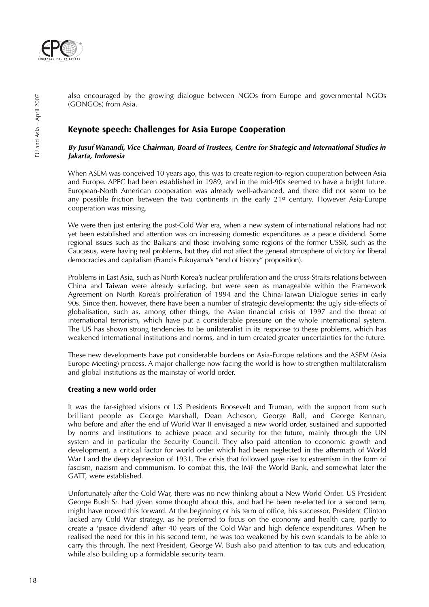

also encouraged by the growing dialogue between NGOs from Europe and governmental NGOs (GONGOs) from Asia.

## **Keynote speech: Challenges for Asia Europe Cooperation**

#### **By Jusuf Wanandi, Vice Chairman, Board of Trustees, Centre for Strategic and International Studies in Jakarta, Indonesia**

When ASEM was conceived 10 years ago, this was to create region-to-region cooperation between Asia and Europe. APEC had been established in 1989, and in the mid-90s seemed to have a bright future. European-North American cooperation was already well-advanced, and there did not seem to be any possible friction between the two continents in the early 21<sup>st</sup> century. However Asia-Europe cooperation was missing.

We were then just entering the post-Cold War era, when a new system of international relations had not yet been established and attention was on increasing domestic expenditures as a peace dividend. Some regional issues such as the Balkans and those involving some regions of the former USSR, such as the Caucasus, were having real problems, but they did not affect the general atmosphere of victory for liberal democracies and capitalism (Francis Fukuyama's "end of history" proposition).

Problems in East Asia, such as North Korea's nuclear proliferation and the cross-Straits relations between China and Taiwan were already surfacing, but were seen as manageable within the Framework Agreement on North Korea's proliferation of 1994 and the China-Taiwan Dialogue series in early 90s. Since then, however, there have been a number of strategic developments: the ugly side-effects of globalisation, such as, among other things, the Asian financial crisis of 1997 and the threat of international terrorism, which have put a considerable pressure on the whole international system. The US has shown strong tendencies to be unilateralist in its response to these problems, which has weakened international institutions and norms, and in turn created greater uncertainties for the future.

These new developments have put considerable burdens on Asia-Europe relations and the ASEM (Asia Europe Meeting) process. A major challenge now facing the world is how to strengthen multilateralism and global institutions as the mainstay of world order.

#### **Creating a new world order**

It was the far-sighted visions of US Presidents Roosevelt and Truman, with the support from such brilliant people as George Marshall, Dean Acheson, George Ball, and George Kennan, who before and after the end of World War II envisaged a new world order, sustained and supported by norms and institutions to achieve peace and security for the future, mainly through the UN system and in particular the Security Council. They also paid attention to economic growth and development, a critical factor for world order which had been neglected in the aftermath of World War I and the deep depression of 1931. The crisis that followed gave rise to extremism in the form of fascism, nazism and communism. To combat this, the IMF the World Bank, and somewhat later the GATT, were established.

Unfortunately after the Cold War, there was no new thinking about a New World Order. US President George Bush Sr. had given some thought about this, and had he been re-elected for a second term, might have moved this forward. At the beginning of his term of office, his successor, President Clinton lacked any Cold War strategy, as he preferred to focus on the economy and health care, partly to create a 'peace dividend' after 40 years of the Cold War and high defence expenditures. When he realised the need for this in his second term, he was too weakened by his own scandals to be able to carry this through. The next President, George W. Bush also paid attention to tax cuts and education, while also building up a formidable security team.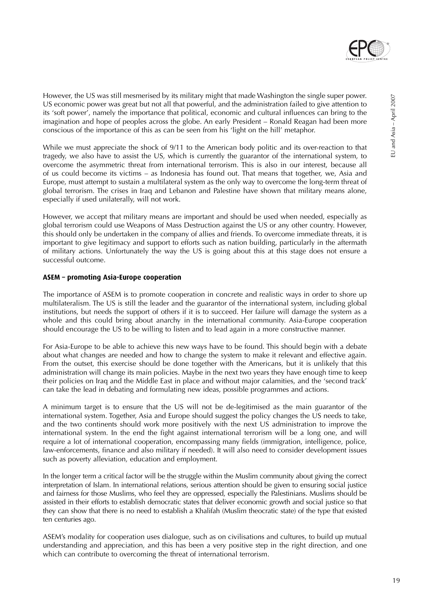

However, the US was still mesmerised by its military might that made Washington the single super power. US economic power was great but not all that powerful, and the administration failed to give attention to its 'soft power', namely the importance that political, economic and cultural influences can bring to the imagination and hope of peoples across the globe. An early President – Ronald Reagan had been more conscious of the importance of this as can be seen from his 'light on the hill' metaphor.

While we must appreciate the shock of 9/11 to the American body politic and its over-reaction to that tragedy, we also have to assist the US, which is currently the guarantor of the international system, to overcome the asymmetric threat from international terrorism. This is also in our interest, because all of us could become its victims – as Indonesia has found out. That means that together, we, Asia and Europe, must attempt to sustain a multilateral system as the only way to overcome the long-term threat of global terrorism. The crises in Iraq and Lebanon and Palestine have shown that military means alone, especially if used unilaterally, will not work.

However, we accept that military means are important and should be used when needed, especially as global terrorism could use Weapons of Mass Destruction against the US or any other country. However, this should only be undertaken in the company of allies and friends. To overcome immediate threats, it is important to give legitimacy and support to efforts such as nation building, particularly in the aftermath of military actions. Unfortunately the way the US is going about this at this stage does not ensure a successful outcome.

#### **ASEM – promoting Asia-Europe cooperation**

The importance of ASEM is to promote cooperation in concrete and realistic ways in order to shore up multilateralism. The US is still the leader and the guarantor of the international system, including global institutions, but needs the support of others if it is to succeed. Her failure will damage the system as a whole and this could bring about anarchy in the international community. Asia-Europe cooperation should encourage the US to be willing to listen and to lead again in a more constructive manner.

For Asia-Europe to be able to achieve this new ways have to be found. This should begin with a debate about what changes are needed and how to change the system to make it relevant and effective again. From the outset, this exercise should be done together with the Americans, but it is unlikely that this administration will change its main policies. Maybe in the next two years they have enough time to keep their policies on Iraq and the Middle East in place and without major calamities, and the 'second track' can take the lead in debating and formulating new ideas, possible programmes and actions.

A minimum target is to ensure that the US will not be de-legitimised as the main guarantor of the international system. Together, Asia and Europe should suggest the policy changes the US needs to take, and the two continents should work more positively with the next US administration to improve the international system. In the end the fight against international terrorism will be a long one, and will require a lot of international cooperation, encompassing many fields (immigration, intelligence, police, law-enforcements, finance and also military if needed). It will also need to consider development issues such as poverty alleviation, education and employment.

In the longer term a critical factor will be the struggle within the Muslim community about giving the correct interpretation of Islam. In international relations, serious attention should be given to ensuring social justice and fairness for those Muslims, who feel they are oppressed, especially the Palestinians. Muslims should be assisted in their efforts to establish democratic states that deliver economic growth and social justice so that they can show that there is no need to establish a Khalifah (Muslim theocratic state) of the type that existed ten centuries ago.

ASEM's modality for cooperation uses dialogue, such as on civilisations and cultures, to build up mutual understanding and appreciation, and this has been a very positive step in the right direction, and one which can contribute to overcoming the threat of international terrorism.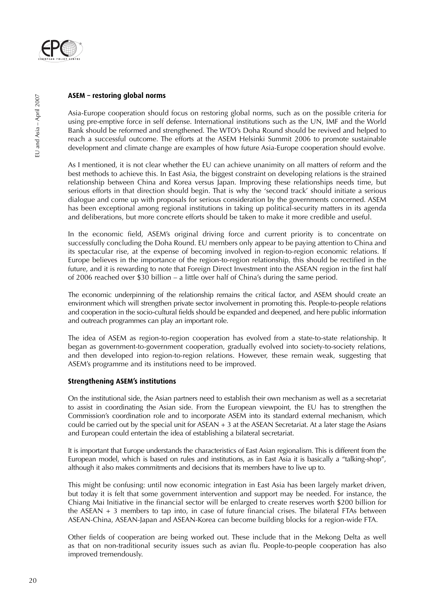

#### **ASEM – restoring global norms**

Asia-Europe cooperation should focus on restoring global norms, such as on the possible criteria for using pre-emptive force in self defense. International institutions such as the UN, IMF and the World Bank should be reformed and strengthened. The WTO's Doha Round should be revived and helped to reach a successful outcome. The efforts at the ASEM Helsinki Summit 2006 to promote sustainable development and climate change are examples of how future Asia-Europe cooperation should evolve.

As I mentioned, it is not clear whether the EU can achieve unanimity on all matters of reform and the best methods to achieve this. In East Asia, the biggest constraint on developing relations is the strained relationship between China and Korea versus Japan. Improving these relationships needs time, but serious efforts in that direction should begin. That is why the 'second track' should initiate a serious dialogue and come up with proposals for serious consideration by the governments concerned. ASEM has been exceptional among regional institutions in taking up political-security matters in its agenda and deliberations, but more concrete efforts should be taken to make it more credible and useful.

In the economic field, ASEM's original driving force and current priority is to concentrate on successfully concluding the Doha Round. EU members only appear to be paying attention to China and its spectacular rise, at the expense of becoming involved in region-to-region economic relations. If Europe believes in the importance of the region-to-region relationship, this should be rectified in the future, and it is rewarding to note that Foreign Direct Investment into the ASEAN region in the first half of 2006 reached over \$30 billion – a little over half of China's during the same period.

The economic underpinning of the relationship remains the critical factor, and ASEM should create an environment which will strengthen private sector involvement in promoting this. People-to-people relations and cooperation in the socio-cultural fields should be expanded and deepened, and here public information and outreach programmes can play an important role.

The idea of ASEM as region-to-region cooperation has evolved from a state-to-state relationship. It began as government-to-government cooperation, gradually evolved into society-to-society relations, and then developed into region-to-region relations. However, these remain weak, suggesting that ASEM's programme and its institutions need to be improved.

#### **Strengthening ASEM's institutions**

On the institutional side, the Asian partners need to establish their own mechanism as well as a secretariat to assist in coordinating the Asian side. From the European viewpoint, the EU has to strengthen the Commission's coordination role and to incorporate ASEM into its standard external mechanism, which could be carried out by the special unit for ASEAN  $+3$  at the ASEAN Secretariat. At a later stage the Asians and European could entertain the idea of establishing a bilateral secretariat.

It is important that Europe understands the characteristics of East Asian regionalism. This is different from the European model, which is based on rules and institutions, as in East Asia it is basically a "talking-shop", although it also makes commitments and decisions that its members have to live up to.

This might be confusing: until now economic integration in East Asia has been largely market driven, but today it is felt that some government intervention and support may be needed. For instance, the Chiang Mai Initiative in the financial sector will be enlarged to create reserves worth \$200 billion for the ASEAN + 3 members to tap into, in case of future financial crises. The bilateral FTAs between ASEAN-China, ASEAN-Japan and ASEAN-Korea can become building blocks for a region-wide FTA.

Other fields of cooperation are being worked out. These include that in the Mekong Delta as well as that on non-traditional security issues such as avian flu. People-to-people cooperation has also improved tremendously.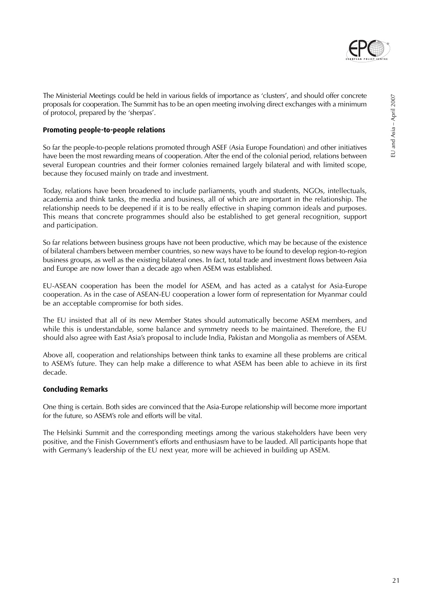

#### **Promoting people-to-people relations**

So far the people-to-people relations promoted through ASEF (Asia Europe Foundation) and other initiatives have been the most rewarding means of cooperation. After the end of the colonial period, relations between several European countries and their former colonies remained largely bilateral and with limited scope, because they focused mainly on trade and investment.

Today, relations have been broadened to include parliaments, youth and students, NGOs, intellectuals, academia and think tanks, the media and business, all of which are important in the relationship. The relationship needs to be deepened if it is to be really effective in shaping common ideals and purposes. This means that concrete programmes should also be established to get general recognition, support and participation.

So far relations between business groups have not been productive, which may be because of the existence of bilateral chambers between member countries, so new ways have to be found to develop region-to-region business groups, as well as the existing bilateral ones. In fact, total trade and investment flows between Asia and Europe are now lower than a decade ago when ASEM was established.

EU-ASEAN cooperation has been the model for ASEM, and has acted as a catalyst for Asia-Europe cooperation. As in the case of ASEAN-EU cooperation a lower form of representation for Myanmar could be an acceptable compromise for both sides.

The EU insisted that all of its new Member States should automatically become ASEM members, and while this is understandable, some balance and symmetry needs to be maintained. Therefore, the EU should also agree with East Asia's proposal to include India, Pakistan and Mongolia as members of ASEM.

Above all, cooperation and relationships between think tanks to examine all these problems are critical to ASEM's future. They can help make a difference to what ASEM has been able to achieve in its first decade.

#### **Concluding Remarks**

One thing is certain. Both sides are convinced that the Asia-Europe relationship will become more important for the future, so ASEM's role and efforts will be vital.

The Helsinki Summit and the corresponding meetings among the various stakeholders have been very positive, and the Finish Government's efforts and enthusiasm have to be lauded. All participants hope that with Germany's leadership of the EU next year, more will be achieved in building up ASEM.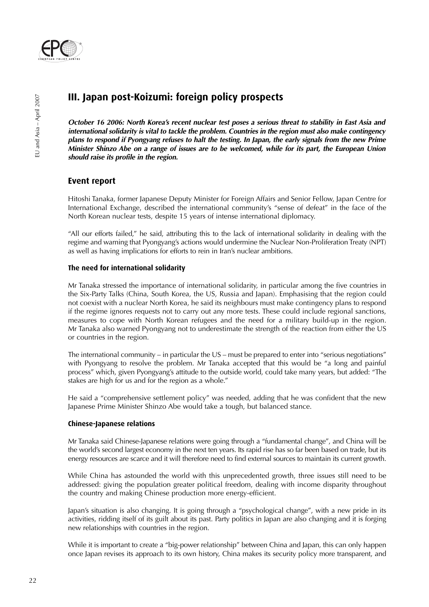

## **III. Japan post-Koizumi: foreign policy prospects**

**October 16 2006: North Korea's recent nuclear test poses a serious threat to stability in East Asia and international solidarity is vital to tackle the problem. Countries in the region must also make contingency plans to respond if Pyongyang refuses to halt the testing. In Japan, the early signals from the new Prime Minister Shinzo Abe on a range of issues are to be welcomed, while for its part, the European Union should raise its profile in the region.**

### **Event report**

Hitoshi Tanaka, former Japanese Deputy Minister for Foreign Affairs and Senior Fellow, Japan Centre for International Exchange, described the international community's "sense of defeat" in the face of the North Korean nuclear tests, despite 15 years of intense international diplomacy.

"All our efforts failed," he said, attributing this to the lack of international solidarity in dealing with the regime and warning that Pyongyang's actions would undermine the Nuclear Non-Proliferation Treaty (NPT) as well as having implications for efforts to rein in Iran's nuclear ambitions.

#### **The need for international solidarity**

Mr Tanaka stressed the importance of international solidarity, in particular among the five countries in the Six-Party Talks (China, South Korea, the US, Russia and Japan). Emphasising that the region could not coexist with a nuclear North Korea, he said its neighbours must make contingency plans to respond if the regime ignores requests not to carry out any more tests. These could include regional sanctions, measures to cope with North Korean refugees and the need for a military build-up in the region. Mr Tanaka also warned Pyongyang not to underestimate the strength of the reaction from either the US or countries in the region.

The international community – in particular the US – must be prepared to enter into "serious negotiations" with Pyongyang to resolve the problem. Mr Tanaka accepted that this would be "a long and painful process" which, given Pyongyang's attitude to the outside world, could take many years, but added: "The stakes are high for us and for the region as a whole."

He said a "comprehensive settlement policy" was needed, adding that he was confident that the new Japanese Prime Minister Shinzo Abe would take a tough, but balanced stance.

#### **Chinese-Japanese relations**

Mr Tanaka said Chinese-Japanese relations were going through a "fundamental change", and China will be the world's second largest economy in the next ten years. Its rapid rise has so far been based on trade, but its energy resources are scarce and it will therefore need to find external sources to maintain its current growth.

While China has astounded the world with this unprecedented growth, three issues still need to be addressed: giving the population greater political freedom, dealing with income disparity throughout the country and making Chinese production more energy-efficient.

Japan's situation is also changing. It is going through a "psychological change", with a new pride in its activities, ridding itself of its guilt about its past. Party politics in Japan are also changing and it is forging new relationships with countries in the region.

While it is important to create a "big-power relationship" between China and Japan, this can only happen once Japan revises its approach to its own history, China makes its security policy more transparent, and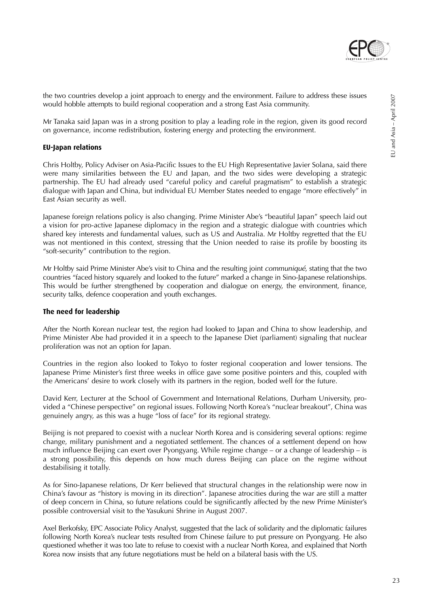

Mr Tanaka said Japan was in a strong position to play a leading role in the region, given its good record on governance, income redistribution, fostering energy and protecting the environment.

#### **EU-Japan relations**

Chris Holtby, Policy Adviser on Asia-Pacific Issues to the EU High Representative Javier Solana, said there were many similarities between the EU and Japan, and the two sides were developing a strategic partnership. The EU had already used "careful policy and careful pragmatism" to establish a strategic dialogue with Japan and China, but individual EU Member States needed to engage "more effectively" in East Asian security as well.

Japanese foreign relations policy is also changing. Prime Minister Abe's "beautiful Japan" speech laid out a vision for pro-active Japanese diplomacy in the region and a strategic dialogue with countries which shared key interests and fundamental values, such as US and Australia. Mr Holtby regretted that the EU was not mentioned in this context, stressing that the Union needed to raise its profile by boosting its "soft-security" contribution to the region.

Mr Holtby said Prime Minister Abe's visit to China and the resulting joint *communiqué*, stating that the two countries "faced history squarely and looked to the future" marked a change in Sino-Japanese relationships. This would be further strengthened by cooperation and dialogue on energy, the environment, finance, security talks, defence cooperation and youth exchanges.

#### **The need for leadership**

After the North Korean nuclear test, the region had looked to Japan and China to show leadership, and Prime Minister Abe had provided it in a speech to the Japanese Diet (parliament) signaling that nuclear proliferation was not an option for Japan.

Countries in the region also looked to Tokyo to foster regional cooperation and lower tensions. The Japanese Prime Minister's first three weeks in office gave some positive pointers and this, coupled with the Americans' desire to work closely with its partners in the region, boded well for the future.

David Kerr, Lecturer at the School of Government and International Relations, Durham University, provided a "Chinese perspective" on regional issues. Following North Korea's "nuclear breakout", China was genuinely angry, as this was a huge "loss of face" for its regional strategy.

Beijing is not prepared to coexist with a nuclear North Korea and is considering several options: regime change, military punishment and a negotiated settlement. The chances of a settlement depend on how much influence Beijing can exert over Pyongyang. While regime change – or a change of leadership – is a strong possibility, this depends on how much duress Beijing can place on the regime without destabilising it totally.

As for Sino-Japanese relations, Dr Kerr believed that structural changes in the relationship were now in China's favour as "history is moving in its direction". Japanese atrocities during the war are still a matter of deep concern in China, so future relations could be significantly affected by the new Prime Minister's possible controversial visit to the Yasukuni Shrine in August 2007.

Axel Berkofsky, EPC Associate Policy Analyst, suggested that the lack of solidarity and the diplomatic failures following North Korea's nuclear tests resulted from Chinese failure to put pressure on Pyongyang. He also questioned whether it was too late to refuse to coexist with a nuclear North Korea, and explained that North Korea now insists that any future negotiations must be held on a bilateral basis with the US.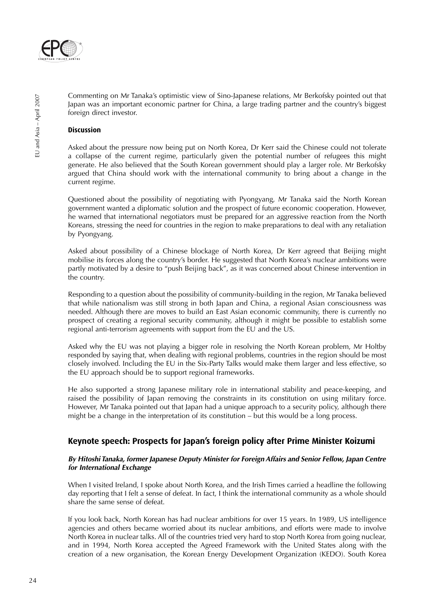

Commenting on Mr Tanaka's optimistic view of Sino-Japanese relations, Mr Berkofsky pointed out that Japan was an important economic partner for China, a large trading partner and the country's biggest foreign direct investor.

#### **Discussion**

Asked about the pressure now being put on North Korea, Dr Kerr said the Chinese could not tolerate a collapse of the current regime, particularly given the potential number of refugees this might generate. He also believed that the South Korean government should play a larger role. Mr Berkofsky argued that China should work with the international community to bring about a change in the current regime.

Questioned about the possibility of negotiating with Pyongyang, Mr Tanaka said the North Korean government wanted a diplomatic solution and the prospect of future economic cooperation. However, he warned that international negotiators must be prepared for an aggressive reaction from the North Koreans, stressing the need for countries in the region to make preparations to deal with any retaliation by Pyongyang.

Asked about possibility of a Chinese blockage of North Korea, Dr Kerr agreed that Beijing might mobilise its forces along the country's border. He suggested that North Korea's nuclear ambitions were partly motivated by a desire to "push Beijing back", as it was concerned about Chinese intervention in the country.

Responding to a question about the possibility of community-building in the region, Mr Tanaka believed that while nationalism was still strong in both Japan and China, a regional Asian consciousness was needed. Although there are moves to build an East Asian economic community, there is currently no prospect of creating a regional security community, although it might be possible to establish some regional anti-terrorism agreements with support from the EU and the US.

Asked why the EU was not playing a bigger role in resolving the North Korean problem, Mr Holtby responded by saying that, when dealing with regional problems, countries in the region should be most closely involved. Including the EU in the Six-Party Talks would make them larger and less effective, so the EU approach should be to support regional frameworks.

He also supported a strong Japanese military role in international stability and peace-keeping, and raised the possibility of Japan removing the constraints in its constitution on using military force. However, Mr Tanaka pointed out that Japan had a unique approach to a security policy, although there might be a change in the interpretation of its constitution – but this would be a long process.

## **Keynote speech: Prospects for Japan's foreign policy after Prime Minister Koizumi**

#### **By Hitoshi Tanaka, former Japanese Deputy Minister for Foreign Affairs and Senior Fellow, Japan Centre for International Exchange**

When I visited Ireland, I spoke about North Korea, and the Irish Times carried a headline the following day reporting that I felt a sense of defeat. In fact, I think the international community as a whole should share the same sense of defeat.

If you look back, North Korean has had nuclear ambitions for over 15 years. In 1989, US intelligence agencies and others became worried about its nuclear ambitions, and efforts were made to involve North Korea in nuclear talks. All of the countries tried very hard to stop North Korea from going nuclear, and in 1994, North Korea accepted the Agreed Framework with the United States along with the creation of a new organisation, the Korean Energy Development Organization (KEDO). South Korea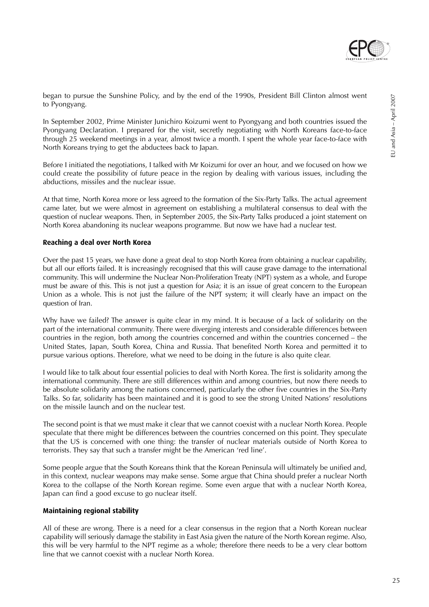

began to pursue the Sunshine Policy, and by the end of the 1990s, President Bill Clinton almost went to Pyongyang.

In September 2002, Prime Minister Junichiro Koizumi went to Pyongyang and both countries issued the Pyongyang Declaration. I prepared for the visit, secretly negotiating with North Koreans face-to-face through 25 weekend meetings in a year, almost twice a month. I spent the whole year face-to-face with North Koreans trying to get the abductees back to Japan.

Before I initiated the negotiations, I talked with Mr Koizumi for over an hour, and we focused on how we could create the possibility of future peace in the region by dealing with various issues, including the abductions, missiles and the nuclear issue.

At that time, North Korea more or less agreed to the formation of the Six-Party Talks. The actual agreement came later, but we were almost in agreement on establishing a multilateral consensus to deal with the question of nuclear weapons. Then, in September 2005, the Six-Party Talks produced a joint statement on North Korea abandoning its nuclear weapons programme. But now we have had a nuclear test.

#### **Reaching a deal over North Korea**

Over the past 15 years, we have done a great deal to stop North Korea from obtaining a nuclear capability, but all our efforts failed. It is increasingly recognised that this will cause grave damage to the international community. This will undermine the Nuclear Non-Proliferation Treaty (NPT) system as a whole, and Europe must be aware of this. This is not just a question for Asia; it is an issue of great concern to the European Union as a whole. This is not just the failure of the NPT system; it will clearly have an impact on the question of Iran.

Why have we failed? The answer is quite clear in my mind. It is because of a lack of solidarity on the part of the international community. There were diverging interests and considerable differences between countries in the region, both among the countries concerned and within the countries concerned – the United States, Japan, South Korea, China and Russia. That benefited North Korea and permitted it to pursue various options. Therefore, what we need to be doing in the future is also quite clear.

I would like to talk about four essential policies to deal with North Korea. The first is solidarity among the international community. There are still differences within and among countries, but now there needs to be absolute solidarity among the nations concerned, particularly the other five countries in the Six-Party Talks. So far, solidarity has been maintained and it is good to see the strong United Nations' resolutions on the missile launch and on the nuclear test.

The second point is that we must make it clear that we cannot coexist with a nuclear North Korea. People speculate that there might be differences between the countries concerned on this point. They speculate that the US is concerned with one thing: the transfer of nuclear materials outside of North Korea to terrorists. They say that such a transfer might be the American 'red line'.

Some people argue that the South Koreans think that the Korean Peninsula will ultimately be unified and, in this context, nuclear weapons may make sense. Some argue that China should prefer a nuclear North Korea to the collapse of the North Korean regime. Some even argue that with a nuclear North Korea, Japan can find a good excuse to go nuclear itself.

#### **Maintaining regional stability**

All of these are wrong. There is a need for a clear consensus in the region that a North Korean nuclear capability will seriously damage the stability in East Asia given the nature of the North Korean regime. Also, this will be very harmful to the NPT regime as a whole; therefore there needs to be a very clear bottom line that we cannot coexist with a nuclear North Korea.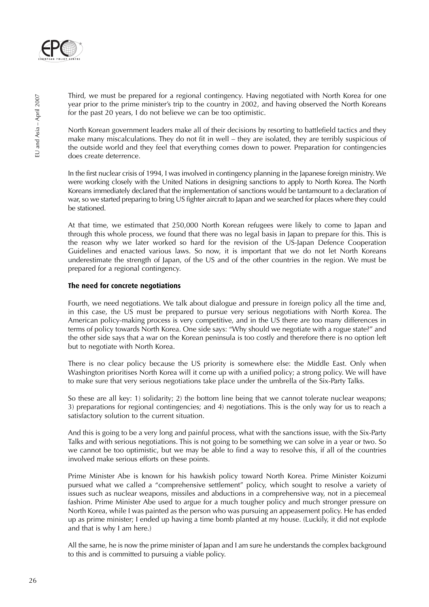

Third, we must be prepared for a regional contingency. Having negotiated with North Korea for one year prior to the prime minister's trip to the country in 2002, and having observed the North Koreans for the past 20 years, I do not believe we can be too optimistic.

North Korean government leaders make all of their decisions by resorting to battlefield tactics and they make many miscalculations. They do not fit in well – they are isolated, they are terribly suspicious of the outside world and they feel that everything comes down to power. Preparation for contingencies does create deterrence.

In the first nuclear crisis of 1994, I was involved in contingency planning in the Japanese foreign ministry. We were working closely with the United Nations in designing sanctions to apply to North Korea. The North Koreans immediately declared that the implementation of sanctions would be tantamount to a declaration of war, so we started preparing to bring US fighter aircraft to Japan and we searched for places where they could be stationed.

At that time, we estimated that 250,000 North Korean refugees were likely to come to Japan and through this whole process, we found that there was no legal basis in Japan to prepare for this. This is the reason why we later worked so hard for the revision of the US-Japan Defence Cooperation Guidelines and enacted various laws. So now, it is important that we do not let North Koreans underestimate the strength of Japan, of the US and of the other countries in the region. We must be prepared for a regional contingency.

#### **The need for concrete negotiations**

Fourth, we need negotiations. We talk about dialogue and pressure in foreign policy all the time and, in this case, the US must be prepared to pursue very serious negotiations with North Korea. The American policy-making process is very competitive, and in the US there are too many differences in terms of policy towards North Korea. One side says: "Why should we negotiate with a rogue state?" and the other side says that a war on the Korean peninsula is too costly and therefore there is no option left but to negotiate with North Korea.

There is no clear policy because the US priority is somewhere else: the Middle East. Only when Washington prioritises North Korea will it come up with a unified policy; a strong policy. We will have to make sure that very serious negotiations take place under the umbrella of the Six-Party Talks.

So these are all key: 1) solidarity; 2) the bottom line being that we cannot tolerate nuclear weapons; 3) preparations for regional contingencies; and 4) negotiations. This is the only way for us to reach a satisfactory solution to the current situation.

And this is going to be a very long and painful process, what with the sanctions issue, with the Six-Party Talks and with serious negotiations. This is not going to be something we can solve in a year or two. So we cannot be too optimistic, but we may be able to find a way to resolve this, if all of the countries involved make serious efforts on these points.

Prime Minister Abe is known for his hawkish policy toward North Korea. Prime Minister Koizumi pursued what we called a "comprehensive settlement" policy, which sought to resolve a variety of issues such as nuclear weapons, missiles and abductions in a comprehensive way, not in a piecemeal fashion. Prime Minister Abe used to argue for a much tougher policy and much stronger pressure on North Korea, while I was painted as the person who was pursuing an appeasement policy. He has ended up as prime minister; I ended up having a time bomb planted at my house. (Luckily, it did not explode and that is why I am here.)

All the same, he is now the prime minister of Japan and I am sure he understands the complex background to this and is committed to pursuing a viable policy.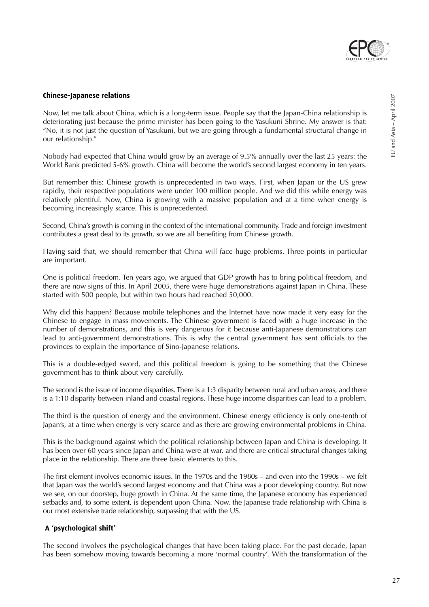

## **Chinese-Japanese relations**

Now, let me talk about China, which is a long-term issue. People say that the Japan-China relationship is deteriorating just because the prime minister has been going to the Yasukuni Shrine. My answer is that: "No, it is not just the question of Yasukuni, but we are going through a fundamental structural change in our relationship."

Nobody had expected that China would grow by an average of 9.5% annually over the last 25 years: the World Bank predicted 5-6% growth. China will become the world's second largest economy in ten years.

But remember this: Chinese growth is unprecedented in two ways. First, when Japan or the US grew rapidly, their respective populations were under 100 million people. And we did this while energy was relatively plentiful. Now, China is growing with a massive population and at a time when energy is becoming increasingly scarce. This is unprecedented.

Second, China's growth is coming in the context of the international community. Trade and foreign investment contributes a great deal to its growth, so we are all benefiting from Chinese growth.

Having said that, we should remember that China will face huge problems. Three points in particular are important.

One is political freedom. Ten years ago, we argued that GDP growth has to bring political freedom, and there are now signs of this. In April 2005, there were huge demonstrations against Japan in China. These started with 500 people, but within two hours had reached 50,000.

Why did this happen? Because mobile telephones and the Internet have now made it very easy for the Chinese to engage in mass movements. The Chinese government is faced with a huge increase in the number of demonstrations, and this is very dangerous for it because anti-Japanese demonstrations can lead to anti-government demonstrations. This is why the central government has sent officials to the provinces to explain the importance of Sino-Japanese relations.

This is a double-edged sword, and this political freedom is going to be something that the Chinese government has to think about very carefully.

The second is the issue of income disparities. There is a 1:3 disparity between rural and urban areas, and there is a 1:10 disparity between inland and coastal regions. These huge income disparities can lead to a problem.

The third is the question of energy and the environment. Chinese energy efficiency is only one-tenth of Japan's, at a time when energy is very scarce and as there are growing environmental problems in China.

This is the background against which the political relationship between Japan and China is developing. It has been over 60 years since Japan and China were at war, and there are critical structural changes taking place in the relationship. There are three basic elements to this.

The first element involves economic issues. In the 1970s and the 1980s – and even into the 1990s – we felt that Japan was the world's second largest economy and that China was a poor developing country. But now we see, on our doorstep, huge growth in China. At the same time, the Japanese economy has experienced setbacks and, to some extent, is dependent upon China. Now, the Japanese trade relationship with China is our most extensive trade relationship, surpassing that with the US.

## **A 'psychological shift'**

The second involves the psychological changes that have been taking place. For the past decade, Japan has been somehow moving towards becoming a more 'normal country'. With the transformation of the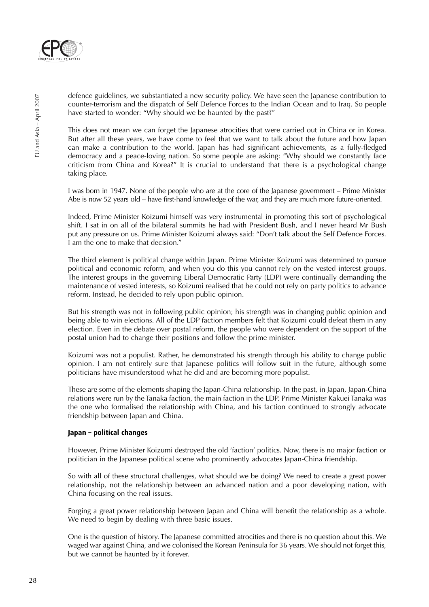

defence guidelines, we substantiated a new security policy. We have seen the Japanese contribution to counter-terrorism and the dispatch of Self Defence Forces to the Indian Ocean and to Iraq. So people have started to wonder: "Why should we be haunted by the past?"

This does not mean we can forget the Japanese atrocities that were carried out in China or in Korea. But after all these years, we have come to feel that we want to talk about the future and how Japan can make a contribution to the world. Japan has had significant achievements, as a fully-fledged democracy and a peace-loving nation. So some people are asking: "Why should we constantly face criticism from China and Korea?" It is crucial to understand that there is a psychological change taking place.

I was born in 1947. None of the people who are at the core of the Japanese government – Prime Minister Abe is now 52 years old – have first-hand knowledge of the war, and they are much more future-oriented.

Indeed, Prime Minister Koizumi himself was very instrumental in promoting this sort of psychological shift. I sat in on all of the bilateral summits he had with President Bush, and I never heard Mr Bush put any pressure on us. Prime Minister Koizumi always said: "Don't talk about the Self Defence Forces. I am the one to make that decision."

The third element is political change within Japan. Prime Minister Koizumi was determined to pursue political and economic reform, and when you do this you cannot rely on the vested interest groups. The interest groups in the governing Liberal Democratic Party (LDP) were continually demanding the maintenance of vested interests, so Koizumi realised that he could not rely on party politics to advance reform. Instead, he decided to rely upon public opinion.

But his strength was not in following public opinion; his strength was in changing public opinion and being able to win elections. All of the LDP faction members felt that Koizumi could defeat them in any election. Even in the debate over postal reform, the people who were dependent on the support of the postal union had to change their positions and follow the prime minister.

Koizumi was not a populist. Rather, he demonstrated his strength through his ability to change public opinion. I am not entirely sure that Japanese politics will follow suit in the future, although some politicians have misunderstood what he did and are becoming more populist.

These are some of the elements shaping the Japan-China relationship. In the past, in Japan, Japan-China relations were run by the Tanaka faction, the main faction in the LDP. Prime Minister Kakuei Tanaka was the one who formalised the relationship with China, and his faction continued to strongly advocate friendship between Japan and China.

#### **Japan – political changes**

However, Prime Minister Koizumi destroyed the old 'faction' politics. Now, there is no major faction or politician in the Japanese political scene who prominently advocates Japan-China friendship.

So with all of these structural challenges, what should we be doing? We need to create a great power relationship, not the relationship between an advanced nation and a poor developing nation, with China focusing on the real issues.

Forging a great power relationship between Japan and China will benefit the relationship as a whole. We need to begin by dealing with three basic issues.

One is the question of history. The Japanese committed atrocities and there is no question about this. We waged war against China, and we colonised the Korean Peninsula for 36 years. We should not forget this, but we cannot be haunted by it forever.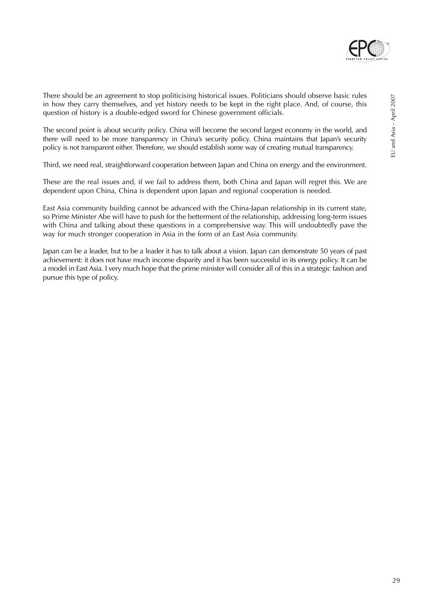

The second point is about security policy. China will become the second largest economy in the world, and there will need to be more transparency in China's security policy. China maintains that Japan's security policy is not transparent either. Therefore, we should establish some way of creating mutual transparency.

Third, we need real, straightforward cooperation between Japan and China on energy and the environment.

These are the real issues and, if we fail to address them, both China and Japan will regret this. We are dependent upon China, China is dependent upon Japan and regional cooperation is needed.

East Asia community building cannot be advanced with the China-Japan relationship in its current state, so Prime Minister Abe will have to push for the betterment of the relationship, addressing long-term issues with China and talking about these questions in a comprehensive way. This will undoubtedly pave the way for much stronger cooperation in Asia in the form of an East Asia community.

Japan can be a leader, but to be a leader it has to talk about a vision. Japan can demonstrate 50 years of past achievement: it does not have much income disparity and it has been successful in its energy policy. It can be a model in East Asia. I very much hope that the prime minister will consider all of this in a strategic fashion and pursue this type of policy.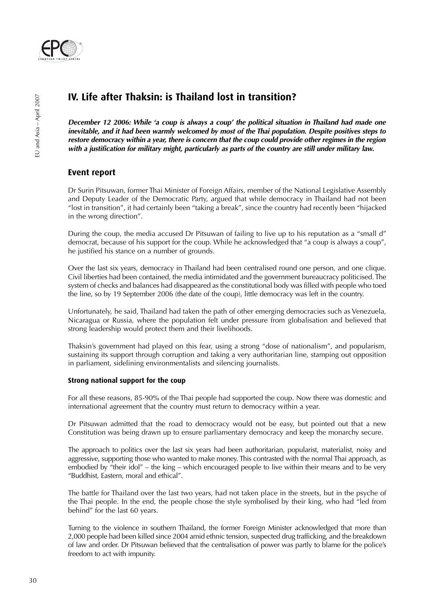

## **IV. Life after Thaksin: is Thailand lost in transition?**

**December 12 2006: While 'a coup is always a coup' the political situation in Thailand had made one inevitable, and it had been warmly welcomed by most of the Thai population. Despite positives steps to restore democracy within a year, there is concern that the coup could provide other regimes in the region with a justification for military might, particularly as parts of the country are still under military law.**

## **Event report**

Dr Surin Pitsuwan, former Thai Minister of Foreign Affairs, member of the National Legislative Assembly and Deputy Leader of the Democratic Party, argued that while democracy in Thailand had not been "lost in transition", it had certainly been "taking a break", since the country had recently been "hijacked in the wrong direction".

During the coup, the media accused Dr Pitsuwan of failing to live up to his reputation as a "small d" democrat, because of his support for the coup. While he acknowledged that "a coup is always a coup", he justified his stance on a number of grounds.

Over the last six years, democracy in Thailand had been centralised round one person, and one clique. Civil liberties had been contained, the media intimidated and the government bureaucracy politicised. The system of checks and balances had disappeared as the constitutional body was filled with people who toed the line, so by 19 September 2006 (the date of the coup), little democracy was left in the country.

Unfortunately, he said, Thailand had taken the path of other emerging democracies such as Venezuela, Nicaragua or Russia, where the population felt under pressure from globalisation and believed that strong leadership would protect them and their livelihoods.

Thaksin's government had played on this fear, using a strong "dose of nationalism", and popularism, sustaining its support through corruption and taking a very authoritarian line, stamping out opposition in parliament, sidelining environmentalists and silencing journalists.

#### **Strong national support for the coup**

For all these reasons, 85-90% of the Thai people had supported the coup. Now there was domestic and international agreement that the country must return to democracy within a year.

Dr Pitsuwan admitted that the road to democracy would not be easy, but pointed out that a new Constitution was being drawn up to ensure parliamentary democracy and keep the monarchy secure.

The approach to politics over the last six years had been authoritarian, popularist, materialist, noisy and aggressive, supporting those who wanted to make money. This contrasted with the normal Thai approach, as embodied by "their idol" – the king – which encouraged people to live within their means and to be very "Buddhist, Eastern, moral and ethical".

The battle for Thailand over the last two years, had not taken place in the streets, but in the psyche of the Thai people. In the end, the people chose the style symbolised by their king, who had "led from behind" for the last 60 years.

Turning to the violence in southern Thailand, the former Foreign Minister acknowledged that more than 2,000 people had been killed since 2004 amid ethnic tension, suspected drug trafficking, and the breakdown of law and order. Dr Pitsuwan believed that the centralisation of power was partly to blame for the police's freedom to act with impunity.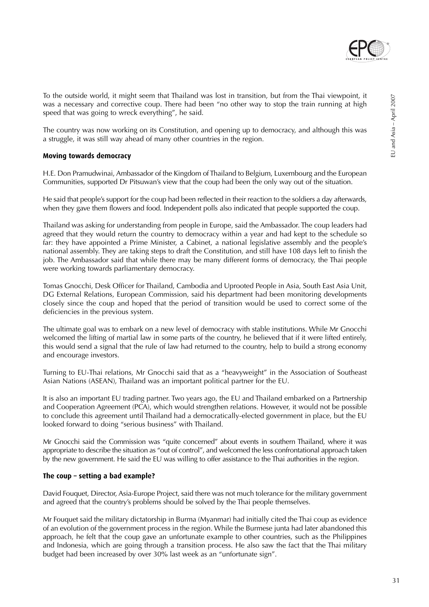

To the outside world, it might seem that Thailand was lost in transition, but from the Thai viewpoint, it was a necessary and corrective coup. There had been "no other way to stop the train running at high speed that was going to wreck everything", he said.

The country was now working on its Constitution, and opening up to democracy, and although this was a struggle, it was still way ahead of many other countries in the region.

#### **Moving towards democracy**

H.E. Don Pramudwinai, Ambassador of the Kingdom of Thailand to Belgium, Luxembourg and the European Communities, supported Dr Pitsuwan's view that the coup had been the only way out of the situation.

He said that people's support for the coup had been reflected in their reaction to the soldiers a day afterwards, when they gave them flowers and food. Independent polls also indicated that people supported the coup.

Thailand was asking for understanding from people in Europe, said the Ambassador. The coup leaders had agreed that they would return the country to democracy within a year and had kept to the schedule so far: they have appointed a Prime Minister, a Cabinet, a national legislative assembly and the people's national assembly. They are taking steps to draft the Constitution, and still have 108 days left to finish the job. The Ambassador said that while there may be many different forms of democracy, the Thai people were working towards parliamentary democracy.

Tomas Gnocchi, Desk Officer for Thailand, Cambodia and Uprooted People in Asia, South East Asia Unit, DG External Relations, European Commission, said his department had been monitoring developments closely since the coup and hoped that the period of transition would be used to correct some of the deficiencies in the previous system.

The ultimate goal was to embark on a new level of democracy with stable institutions. While Mr Gnocchi welcomed the lifting of martial law in some parts of the country, he believed that if it were lifted entirely, this would send a signal that the rule of law had returned to the country, help to build a strong economy and encourage investors.

Turning to EU-Thai relations, Mr Gnocchi said that as a "heavyweight" in the Association of Southeast Asian Nations (ASEAN), Thailand was an important political partner for the EU.

It is also an important EU trading partner. Two years ago, the EU and Thailand embarked on a Partnership and Cooperation Agreement (PCA), which would strengthen relations. However, it would not be possible to conclude this agreement until Thailand had a democratically-elected government in place, but the EU looked forward to doing "serious business" with Thailand.

Mr Gnocchi said the Commission was "quite concerned" about events in southern Thailand, where it was appropriate to describe the situation as "out of control", and welcomed the less confrontational approach taken by the new government. He said the EU was willing to offer assistance to the Thai authorities in the region.

#### **The coup – setting a bad example?**

David Fouquet, Director, Asia-Europe Project, said there was not much tolerance for the military government and agreed that the country's problems should be solved by the Thai people themselves.

Mr Fouquet said the military dictatorship in Burma (Myanmar) had initially cited the Thai coup as evidence of an evolution of the government process in the region. While the Burmese junta had later abandoned this approach, he felt that the coup gave an unfortunate example to other countries, such as the Philippines and Indonesia, which are going through a transition process. He also saw the fact that the Thai military budget had been increased by over 30% last week as an "unfortunate sign".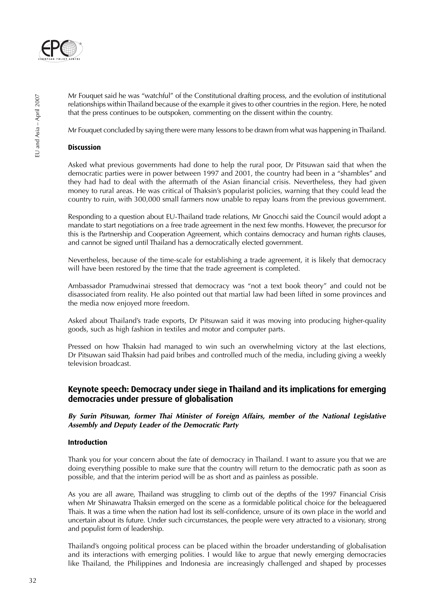

Mr Fouquet said he was "watchful" of the Constitutional drafting process, and the evolution of institutional relationships within Thailand because of the example it gives to other countries in the region. Here, he noted that the press continues to be outspoken, commenting on the dissent within the country.

Mr Fouquet concluded by saying there were many lessons to be drawn from what was happening in Thailand.

### **Discussion**

Asked what previous governments had done to help the rural poor, Dr Pitsuwan said that when the democratic parties were in power between 1997 and 2001, the country had been in a "shambles" and they had had to deal with the aftermath of the Asian financial crisis. Nevertheless, they had given money to rural areas. He was critical of Thaksin's popularist policies, warning that they could lead the country to ruin, with 300,000 small farmers now unable to repay loans from the previous government.

Responding to a question about EU-Thailand trade relations, Mr Gnocchi said the Council would adopt a mandate to start negotiations on a free trade agreement in the next few months. However, the precursor for this is the Partnership and Cooperation Agreement, which contains democracy and human rights clauses, and cannot be signed until Thailand has a democratically elected government.

Nevertheless, because of the time-scale for establishing a trade agreement, it is likely that democracy will have been restored by the time that the trade agreement is completed.

Ambassador Pramudwinai stressed that democracy was "not a text book theory" and could not be disassociated from reality. He also pointed out that martial law had been lifted in some provinces and the media now enjoyed more freedom.

Asked about Thailand's trade exports, Dr Pitsuwan said it was moving into producing higher-quality goods, such as high fashion in textiles and motor and computer parts.

Pressed on how Thaksin had managed to win such an overwhelming victory at the last elections, Dr Pitsuwan said Thaksin had paid bribes and controlled much of the media, including giving a weekly television broadcast.

## **Keynote speech: Democracy under siege in Thailand and its implications for emerging democracies under pressure of globalisation**

**By Surin Pitsuwan, former Thai Minister of Foreign Affairs, member of the National Legislative Assembly and Deputy Leader of the Democratic Party**

#### **Introduction**

Thank you for your concern about the fate of democracy in Thailand. I want to assure you that we are doing everything possible to make sure that the country will return to the democratic path as soon as possible, and that the interim period will be as short and as painless as possible.

As you are all aware, Thailand was struggling to climb out of the depths of the 1997 Financial Crisis when Mr Shinawatra Thaksin emerged on the scene as a formidable political choice for the beleaguered Thais. It was a time when the nation had lost its self-confidence, unsure of its own place in the world and uncertain about its future. Under such circumstances, the people were very attracted to a visionary, strong and populist form of leadership.

Thailand's ongoing political process can be placed within the broader understanding of globalisation and its interactions with emerging polities. I would like to argue that newly emerging democracies like Thailand, the Philippines and Indonesia are increasingly challenged and shaped by processes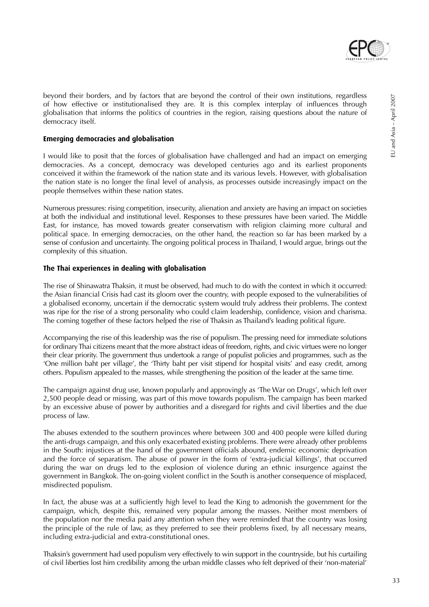

beyond their borders, and by factors that are beyond the control of their own institutions, regardless of how effective or institutionalised they are. It is this complex interplay of influences through globalisation that informs the politics of countries in the region, raising questions about the nature of democracy itself.

#### **Emerging democracies and globalisation**

I would like to posit that the forces of globalisation have challenged and had an impact on emerging democracies. As a concept, democracy was developed centuries ago and its earliest proponents conceived it within the framework of the nation state and its various levels. However, with globalisation the nation state is no longer the final level of analysis, as processes outside increasingly impact on the people themselves within these nation states.

Numerous pressures: rising competition, insecurity, alienation and anxiety are having an impact on societies at both the individual and institutional level. Responses to these pressures have been varied. The Middle East, for instance, has moved towards greater conservatism with religion claiming more cultural and political space. In emerging democracies, on the other hand, the reaction so far has been marked by a sense of confusion and uncertainty. The ongoing political process in Thailand, I would argue, brings out the complexity of this situation.

#### **The Thai experiences in dealing with globalisation**

The rise of Shinawatra Thaksin, it must be observed, had much to do with the context in which it occurred: the Asian financial Crisis had cast its gloom over the country, with people exposed to the vulnerabilities of a globalised economy, uncertain if the democratic system would truly address their problems. The context was ripe for the rise of a strong personality who could claim leadership, confidence, vision and charisma. The coming together of these factors helped the rise of Thaksin as Thailand's leading political figure.

Accompanying the rise of this leadership was the rise of populism. The pressing need for immediate solutions for ordinary Thai citizens meant that the more abstract ideas of freedom, rights, and civic virtues were no longer their clear priority. The government thus undertook a range of populist policies and programmes, such as the 'One million baht per village', the 'Thirty baht per visit stipend for hospital visits' and easy credit, among others. Populism appealed to the masses, while strengthening the position of the leader at the same time.

The campaign against drug use, known popularly and approvingly as 'The War on Drugs', which left over 2,500 people dead or missing, was part of this move towards populism. The campaign has been marked by an excessive abuse of power by authorities and a disregard for rights and civil liberties and the due process of law.

The abuses extended to the southern provinces where between 300 and 400 people were killed during the anti-drugs campaign, and this only exacerbated existing problems. There were already other problems in the South: injustices at the hand of the government officials abound, endemic economic deprivation and the force of separatism. The abuse of power in the form of 'extra-judicial killings', that occurred during the war on drugs led to the explosion of violence during an ethnic insurgence against the government in Bangkok. The on-going violent conflict in the South is another consequence of misplaced, misdirected populism.

In fact, the abuse was at a sufficiently high level to lead the King to admonish the government for the campaign, which, despite this, remained very popular among the masses. Neither most members of the population nor the media paid any attention when they were reminded that the country was losing the principle of the rule of law, as they preferred to see their problems fixed, by all necessary means, including extra-judicial and extra-constitutional ones.

Thaksin's government had used populism very effectively to win support in the countryside, but his curtailing of civil liberties lost him credibility among the urban middle classes who felt deprived of their 'non-material'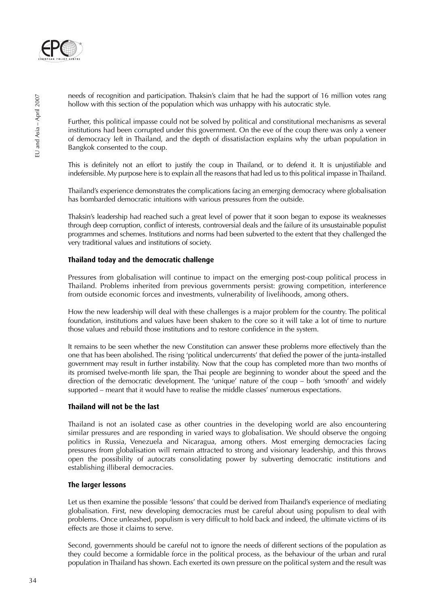

needs of recognition and participation. Thaksin's claim that he had the support of 16 million votes rang hollow with this section of the population which was unhappy with his autocratic style.

Further, this political impasse could not be solved by political and constitutional mechanisms as several institutions had been corrupted under this government. On the eve of the coup there was only a veneer of democracy left in Thailand, and the depth of dissatisfaction explains why the urban population in Bangkok consented to the coup.

This is definitely not an effort to justify the coup in Thailand, or to defend it. It is unjustifiable and indefensible. My purpose here is to explain all the reasons that had led us to this political impasse in Thailand.

Thailand's experience demonstrates the complications facing an emerging democracy where globalisation has bombarded democratic intuitions with various pressures from the outside.

Thaksin's leadership had reached such a great level of power that it soon began to expose its weaknesses through deep corruption, conflict of interests, controversial deals and the failure of its unsustainable populist programmes and schemes. Institutions and norms had been subverted to the extent that they challenged the very traditional values and institutions of society.

#### **Thailand today and the democratic challenge**

Pressures from globalisation will continue to impact on the emerging post-coup political process in Thailand. Problems inherited from previous governments persist: growing competition, interference from outside economic forces and investments, vulnerability of livelihoods, among others.

How the new leadership will deal with these challenges is a major problem for the country. The political foundation, institutions and values have been shaken to the core so it will take a lot of time to nurture those values and rebuild those institutions and to restore confidence in the system.

It remains to be seen whether the new Constitution can answer these problems more effectively than the one that has been abolished. The rising 'political undercurrents' that defied the power of the junta-installed government may result in further instability. Now that the coup has completed more than two months of its promised twelve-month life span, the Thai people are beginning to wonder about the speed and the direction of the democratic development. The 'unique' nature of the coup – both 'smooth' and widely supported – meant that it would have to realise the middle classes' numerous expectations.

#### **Thailand will not be the last**

Thailand is not an isolated case as other countries in the developing world are also encountering similar pressures and are responding in varied ways to globalisation. We should observe the ongoing politics in Russia, Venezuela and Nicaragua, among others. Most emerging democracies facing pressures from globalisation will remain attracted to strong and visionary leadership, and this throws open the possibility of autocrats consolidating power by subverting democratic institutions and establishing illiberal democracies.

#### **The larger lessons**

Let us then examine the possible 'lessons' that could be derived from Thailand's experience of mediating globalisation. First, new developing democracies must be careful about using populism to deal with problems. Once unleashed, populism is very difficult to hold back and indeed, the ultimate victims of its effects are those it claims to serve.

Second, governments should be careful not to ignore the needs of different sections of the population as they could become a formidable force in the political process, as the behaviour of the urban and rural population in Thailand has shown. Each exerted its own pressure on the political system and the result was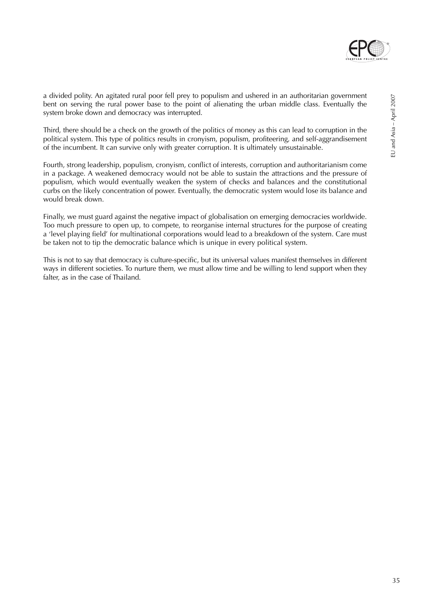

a divided polity. An agitated rural poor fell prey to populism and ushered in an authoritarian government bent on serving the rural power base to the point of alienating the urban middle class. Eventually the system broke down and democracy was interrupted.

Third, there should be a check on the growth of the politics of money as this can lead to corruption in the political system. This type of politics results in cronyism, populism, profiteering, and self-aggrandisement of the incumbent. It can survive only with greater corruption. It is ultimately unsustainable.

Fourth, strong leadership, populism, cronyism, conflict of interests, corruption and authoritarianism come in a package. A weakened democracy would not be able to sustain the attractions and the pressure of populism, which would eventually weaken the system of checks and balances and the constitutional curbs on the likely concentration of power. Eventually, the democratic system would lose its balance and would break down.

Finally, we must guard against the negative impact of globalisation on emerging democracies worldwide. Too much pressure to open up, to compete, to reorganise internal structures for the purpose of creating a 'level playing field' for multinational corporations would lead to a breakdown of the system. Care must be taken not to tip the democratic balance which is unique in every political system.

This is not to say that democracy is culture-specific, but its universal values manifest themselves in different ways in different societies. To nurture them, we must allow time and be willing to lend support when they falter, as in the case of Thailand.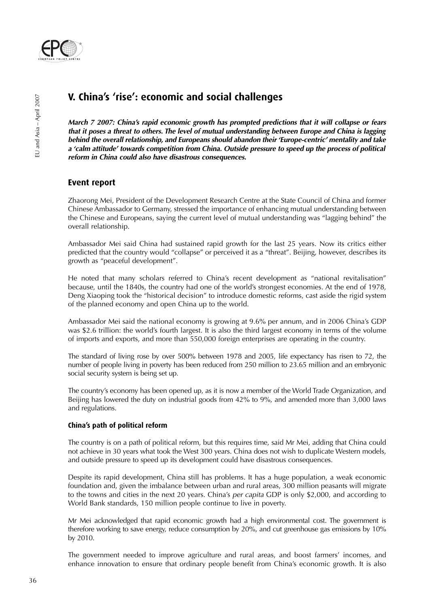

## **V. China's 'rise': economic and social challenges**

**March 7 2007: China's rapid economic growth has prompted predictions that it will collapse or fears that it poses a threat to others. The level of mutual understanding between Europe and China is lagging behind the overall relationship, and Europeans should abandon their 'Europe-centric' mentality and take <sup>a</sup>'calm attitude' towards competition from China. Outside pressure to speed up the process of political reform in China could also have disastrous consequences.**

## **Event report**

Zhaorong Mei, President of the Development Research Centre at the State Council of China and former Chinese Ambassador to Germany, stressed the importance of enhancing mutual understanding between the Chinese and Europeans, saying the current level of mutual understanding was "lagging behind" the overall relationship.

Ambassador Mei said China had sustained rapid growth for the last 25 years. Now its critics either predicted that the country would "collapse" or perceived it as a "threat". Beijing, however, describes its growth as "peaceful development".

He noted that many scholars referred to China's recent development as "national revitalisation" because, until the 1840s, the country had one of the world's strongest economies. At the end of 1978, Deng Xiaoping took the "historical decision" to introduce domestic reforms, cast aside the rigid system of the planned economy and open China up to the world.

Ambassador Mei said the national economy is growing at 9.6% per annum, and in 2006 China's GDP was \$2.6 trillion: the world's fourth largest. It is also the third largest economy in terms of the volume of imports and exports, and more than 550,000 foreign enterprises are operating in the country.

The standard of living rose by over 500% between 1978 and 2005, life expectancy has risen to 72, the number of people living in poverty has been reduced from 250 million to 23.65 million and an embryonic social security system is being set up.

The country's economy has been opened up, as it is now a member of the World Trade Organization, and Beijing has lowered the duty on industrial goods from 42% to 9%, and amended more than 3,000 laws and regulations.

#### **China's path of political reform**

The country is on a path of political reform, but this requires time, said Mr Mei, adding that China could not achieve in 30 years what took the West 300 years. China does not wish to duplicate Western models, and outside pressure to speed up its development could have disastrous consequences.

Despite its rapid development, China still has problems. It has a huge population, a weak economic foundation and, given the imbalance between urban and rural areas, 300 million peasants will migrate to the towns and cities in the next 20 years. China's per capita GDP is only \$2,000, and according to World Bank standards, 150 million people continue to live in poverty.

Mr Mei acknowledged that rapid economic growth had a high environmental cost. The government is therefore working to save energy, reduce consumption by 20%, and cut greenhouse gas emissions by 10% by 2010.

The government needed to improve agriculture and rural areas, and boost farmers' incomes, and enhance innovation to ensure that ordinary people benefit from China's economic growth. It is also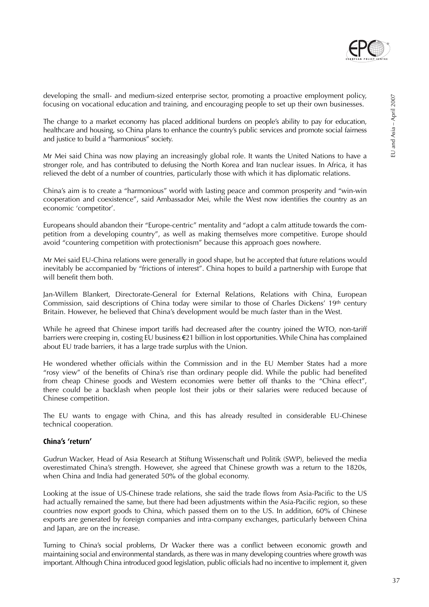

developing the small- and medium-sized enterprise sector, promoting a proactive employment policy, focusing on vocational education and training, and encouraging people to set up their own businesses.

The change to a market economy has placed additional burdens on people's ability to pay for education, healthcare and housing, so China plans to enhance the country's public services and promote social fairness and justice to build a "harmonious" society.

Mr Mei said China was now playing an increasingly global role. It wants the United Nations to have a stronger role, and has contributed to defusing the North Korea and Iran nuclear issues. In Africa, it has relieved the debt of a number of countries, particularly those with which it has diplomatic relations.

China's aim is to create a "harmonious" world with lasting peace and common prosperity and "win-win cooperation and coexistence", said Ambassador Mei, while the West now identifies the country as an economic 'competitor'.

Europeans should abandon their "Europe-centric" mentality and "adopt a calm attitude towards the competition from a developing country", as well as making themselves more competitive. Europe should avoid "countering competition with protectionism" because this approach goes nowhere.

Mr Mei said EU-China relations were generally in good shape, but he accepted that future relations would inevitably be accompanied by "frictions of interest". China hopes to build a partnership with Europe that will benefit them both.

Jan-Willem Blankert, Directorate-General for External Relations, Relations with China, European Commission, said descriptions of China today were similar to those of Charles Dickens' 19th century Britain. However, he believed that China's development would be much faster than in the West.

While he agreed that Chinese import tariffs had decreased after the country joined the WTO, non-tariff barriers were creeping in, costing EU business €21 billion in lost opportunities. While China has complained about EU trade barriers, it has a large trade surplus with the Union.

He wondered whether officials within the Commission and in the EU Member States had a more "rosy view" of the benefits of China's rise than ordinary people did. While the public had benefited from cheap Chinese goods and Western economies were better off thanks to the "China effect", there could be a backlash when people lost their jobs or their salaries were reduced because of Chinese competition.

The EU wants to engage with China, and this has already resulted in considerable EU-Chinese technical cooperation.

#### **China's 'return'**

Gudrun Wacker, Head of Asia Research at Stiftung Wissenschaft und Politik (SWP), believed the media overestimated China's strength. However, she agreed that Chinese growth was a return to the 1820s, when China and India had generated 50% of the global economy.

Looking at the issue of US-Chinese trade relations, she said the trade flows from Asia-Pacific to the US had actually remained the same, but there had been adjustments within the Asia-Pacific region, so these countries now export goods to China, which passed them on to the US. In addition, 60% of Chinese exports are generated by foreign companies and intra-company exchanges, particularly between China and Japan, are on the increase.

Turning to China's social problems, Dr Wacker there was a conflict between economic growth and maintaining social and environmental standards, as there was in many developing countries where growth was important. Although China introduced good legislation, public officials had no incentive to implement it, given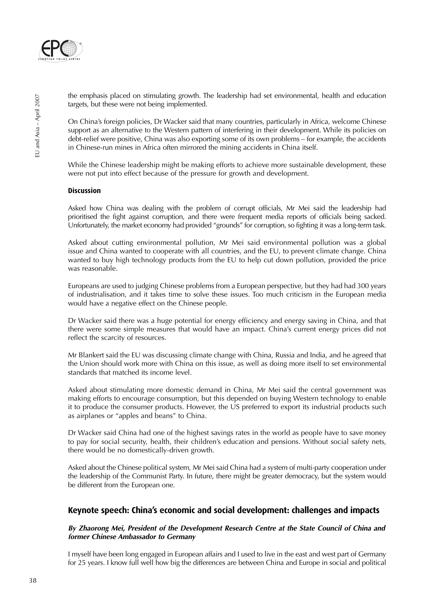

the emphasis placed on stimulating growth. The leadership had set environmental, health and education targets, but these were not being implemented.

On China's foreign policies, Dr Wacker said that many countries, particularly in Africa, welcome Chinese support as an alternative to the Western pattern of interfering in their development. While its policies on debt-relief were positive, China was also exporting some of its own problems – for example, the accidents in Chinese-run mines in Africa often mirrored the mining accidents in China itself.

While the Chinese leadership might be making efforts to achieve more sustainable development, these were not put into effect because of the pressure for growth and development.

#### **Discussion**

Asked how China was dealing with the problem of corrupt officials, Mr Mei said the leadership had prioritised the fight against corruption, and there were frequent media reports of officials being sacked. Unfortunately, the market economy had provided "grounds" for corruption, so fighting it was a long-term task.

Asked about cutting environmental pollution, Mr Mei said environmental pollution was a global issue and China wanted to cooperate with all countries, and the EU, to prevent climate change. China wanted to buy high technology products from the EU to help cut down pollution, provided the price was reasonable.

Europeans are used to judging Chinese problems from a European perspective, but they had had 300 years of industrialisation, and it takes time to solve these issues. Too much criticism in the European media would have a negative effect on the Chinese people.

Dr Wacker said there was a huge potential for energy efficiency and energy saving in China, and that there were some simple measures that would have an impact. China's current energy prices did not reflect the scarcity of resources.

Mr Blankert said the EU was discussing climate change with China, Russia and India, and he agreed that the Union should work more with China on this issue, as well as doing more itself to set environmental standards that matched its income level.

Asked about stimulating more domestic demand in China, Mr Mei said the central government was making efforts to encourage consumption, but this depended on buying Western technology to enable it to produce the consumer products. However, the US preferred to export its industrial products such as airplanes or "apples and beans" to China.

Dr Wacker said China had one of the highest savings rates in the world as people have to save money to pay for social security, health, their children's education and pensions. Without social safety nets, there would be no domestically-driven growth.

Asked about the Chinese political system, Mr Mei said China had a system of multi-party cooperation under the leadership of the Communist Party. In future, there might be greater democracy, but the system would be different from the European one.

## **Keynote speech: China's economic and social development: challenges and impacts**

#### **By Zhaorong Mei, President of the Development Research Centre at the State Council of China and former Chinese Ambassador to Germany**

I myself have been long engaged in European affairs and I used to live in the east and west part of Germany for 25 years. I know full well how big the differences are between China and Europe in social and political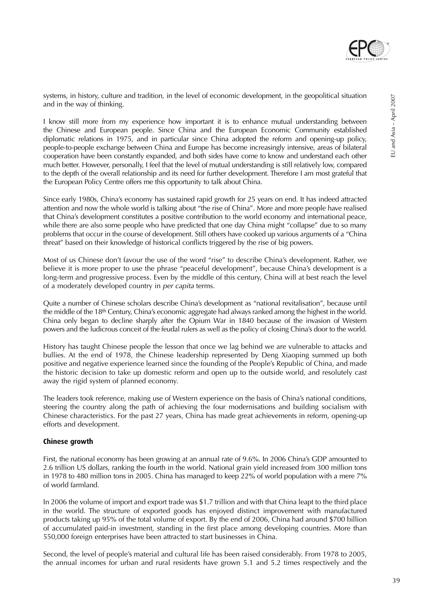

I know still more from my experience how important it is to enhance mutual understanding between the Chinese and European people. Since China and the European Economic Community established diplomatic relations in 1975, and in particular since China adopted the reform and opening-up policy, people-to-people exchange between China and Europe has become increasingly intensive, areas of bilateral cooperation have been constantly expanded, and both sides have come to know and understand each other much better. However, personally, I feel that the level of mutual understanding is still relatively low, compared to the depth of the overall relationship and its need for further development. Therefore I am most grateful that the European Policy Centre offers me this opportunity to talk about China.

Since early 1980s, China's economy has sustained rapid growth for 25 years on end. It has indeed attracted attention and now the whole world is talking about "the rise of China". More and more people have realised that China's development constitutes a positive contribution to the world economy and international peace, while there are also some people who have predicted that one day China might "collapse" due to so many problems that occur in the course of development. Still others have cooked up various arguments of a "China threat" based on their knowledge of historical conflicts triggered by the rise of big powers.

Most of us Chinese don't favour the use of the word "rise" to describe China's development. Rather, we believe it is more proper to use the phrase "peaceful development", because China's development is a long-term and progressive process. Even by the middle of this century, China will at best reach the level of a moderately developed country in per capita terms.

Quite a number of Chinese scholars describe China's development as "national revitalisation", because until the middle of the 18th Century, China's economic aggregate had always ranked among the highest in the world. China only began to decline sharply after the Opium War in 1840 because of the invasion of Western powers and the ludicrous conceit of the feudal rulers as well as the policy of closing China's door to the world.

History has taught Chinese people the lesson that once we lag behind we are vulnerable to attacks and bullies. At the end of 1978, the Chinese leadership represented by Deng Xiaoping summed up both positive and negative experience learned since the founding of the People's Republic of China, and made the historic decision to take up domestic reform and open up to the outside world, and resolutely cast away the rigid system of planned economy.

The leaders took reference, making use of Western experience on the basis of China's national conditions, steering the country along the path of achieving the four modernisations and building socialism with Chinese characteristics. For the past 27 years, China has made great achievements in reform, opening-up efforts and development.

#### **Chinese growth**

First, the national economy has been growing at an annual rate of 9.6%. In 2006 China's GDP amounted to 2.6 trillion US dollars, ranking the fourth in the world. National grain yield increased from 300 million tons in 1978 to 480 million tons in 2005. China has managed to keep 22% of world population with a mere 7% of world farmland.

In 2006 the volume of import and export trade was \$1.7 trillion and with that China leapt to the third place in the world. The structure of exported goods has enjoyed distinct improvement with manufactured products taking up 95% of the total volume of export. By the end of 2006, China had around \$700 billion of accumulated paid-in investment, standing in the first place among developing countries. More than 550,000 foreign enterprises have been attracted to start businesses in China.

Second, the level of people's material and cultural life has been raised considerably. From 1978 to 2005, the annual incomes for urban and rural residents have grown 5.1 and 5.2 times respectively and the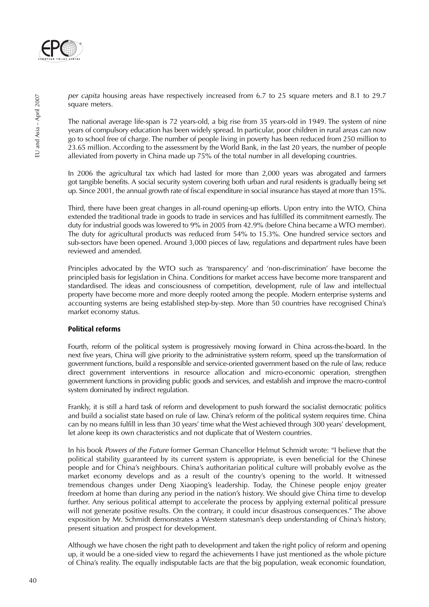

per capita housing areas have respectively increased from 6.7 to 25 square meters and 8.1 to 29.7 square meters.

The national average life-span is 72 years-old, a big rise from 35 years-old in 1949. The system of nine years of compulsory education has been widely spread. In particular, poor children in rural areas can now go to school free of charge. The number of people living in poverty has been reduced from 250 million to 23.65 million. According to the assessment by the World Bank, in the last 20 years, the number of people alleviated from poverty in China made up 75% of the total number in all developing countries.

In 2006 the agricultural tax which had lasted for more than 2,000 years was abrogated and farmers got tangible benefits. A social security system covering both urban and rural residents is gradually being set up. Since 2001, the annual growth rate of fiscal expenditure in social insurance has stayed at more than 15%.

Third, there have been great changes in all-round opening-up efforts. Upon entry into the WTO, China extended the traditional trade in goods to trade in services and has fulfilled its commitment earnestly. The duty for industrial goods was lowered to 9% in 2005 from 42.9% (before China became a WTO member). The duty for agricultural products was reduced from 54% to 15.3%. One hundred service sectors and sub-sectors have been opened. Around 3,000 pieces of law, regulations and department rules have been reviewed and amended.

Principles advocated by the WTO such as 'transparency' and 'non-discrimination' have become the principled basis for legislation in China. Conditions for market access have become more transparent and standardised. The ideas and consciousness of competition, development, rule of law and intellectual property have become more and more deeply rooted among the people. Modern enterprise systems and accounting systems are being established step-by-step. More than 50 countries have recognised China's market economy status.

#### **Political reforms**

Fourth, reform of the political system is progressively moving forward in China across-the-board. In the next five years, China will give priority to the administrative system reform, speed up the transformation of government functions, build a responsible and service-oriented government based on the rule of law, reduce direct government interventions in resource allocation and micro-economic operation, strengthen government functions in providing public goods and services, and establish and improve the macro-control system dominated by indirect regulation.

Frankly, it is still a hard task of reform and development to push forward the socialist democratic politics and build a socialist state based on rule of law. China's reform of the political system requires time. China can by no means fulfill in less than 30 years' time what the West achieved through 300 years' development, let alone keep its own characteristics and not duplicate that of Western countries.

In his book Powers of the Future former German Chancellor Helmut Schmidt wrote: "I believe that the political stability guaranteed by its current system is appropriate, is even beneficial for the Chinese people and for China's neighbours. China's authoritarian political culture will probably evolve as the market economy develops and as a result of the country's opening to the world. It witnessed tremendous changes under Deng Xiaoping's leadership. Today, the Chinese people enjoy greater freedom at home than during any period in the nation's history. We should give China time to develop further. Any serious political attempt to accelerate the process by applying external political pressure will not generate positive results. On the contrary, it could incur disastrous consequences." The above exposition by Mr. Schmidt demonstrates a Western statesman's deep understanding of China's history, present situation and prospect for development.

Although we have chosen the right path to development and taken the right policy of reform and opening up, it would be a one-sided view to regard the achievements I have just mentioned as the whole picture of China's reality. The equally indisputable facts are that the big population, weak economic foundation,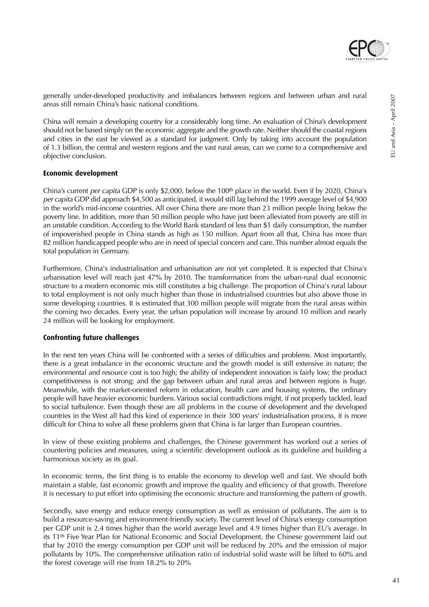

generally under-developed productivity and imbalances between regions and between urban and rural areas still remain China's basic national conditions.

China will remain a developing country for a considerably long time. An evaluation of China's development should not be based simply on the economic aggregate and the growth rate. Neither should the coastal regions and cities in the east be viewed as a standard for judgment. Only by taking into account the population of 1.3 billion, the central and western regions and the vast rural areas, can we come to a comprehensive and objective conclusion.

#### **Economic development**

China's current per capita GDP is only \$2,000, below the 100<sup>th</sup> place in the world. Even if by 2020, China's per capita GDP did approach \$4,500 as anticipated, it would still lag behind the 1999 average level of \$4,900 in the world's mid-income countries. All over China there are more than 23 million people living below the poverty line. In addition, more than 50 million people who have just been alleviated from poverty are still in an unstable condition. According to the World Bank standard of less than \$1 daily consumption, the number of impoverished people in China stands as high as 150 million. Apart from all that, China has more than 82 million handicapped people who are in need of special concern and care. This number almost equals the total population in Germany.

Furthermore, China's industrialisation and urbanisation are not yet completed. It is expected that China's urbanisation level will reach just 47% by 2010. The transformation from the urban-rural dual economic structure to a modern economic mix still constitutes a big challenge. The proportion of China's rural labour to total employment is not only much higher than those in industrialised countries but also above those in some developing countries. It is estimated that 300 million people will migrate from the rural areas within the coming two decades. Every year, the urban population will increase by around 10 million and nearly 24 million will be looking for employment.

#### **Confronting future challenges**

In the next ten years China will be confronted with a series of difficulties and problems. Most importantly, there is a great imbalance in the economic structure and the growth model is still extensive in nature; the environmental and resource cost is too high; the ability of independent innovation is fairly low; the product competitiveness is not strong; and the gap between urban and rural areas and between regions is huge. Meanwhile, with the market-oriented reform in education, health care and housing systems, the ordinary people will have heavier economic burdens. Various social contradictions might, if not properly tackled, lead to social turbulence. Even though these are all problems in the course of development and the developed countries in the West all had this kind of experience in their 300 years' industrialisation process, it is more difficult for China to solve all these problems given that China is far larger than European countries.

In view of these existing problems and challenges, the Chinese government has worked out a series of countering policies and measures, using a scientific development outlook as its guideline and building a harmonious society as its goal.

In economic terms, the first thing is to enable the economy to develop well and fast. We should both maintain a stable, fast economic growth and improve the quality and efficiency of that growth. Therefore it is necessary to put effort into optimising the economic structure and transforming the pattern of growth.

Secondly, save energy and reduce energy consumption as well as emission of pollutants. The aim is to build a resource-saving and environment-friendly society. The current level of China's energy consumption per GDP unit is 2.4 times higher than the world average level and 4.9 times higher than EU's average. In its 11th Five Year Plan for National Economic and Social Development, the Chinese government laid out that by 2010 the energy consumption per GDP unit will be reduced by 20% and the emission of major pollutants by 10%. The comprehensive utilisation ratio of industrial solid waste will be lifted to 60% and the forest coverage will rise from 18.2% to 20%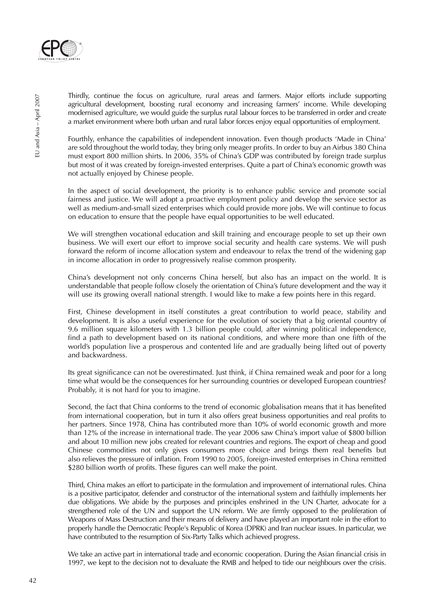

Thirdly, continue the focus on agriculture, rural areas and farmers. Major efforts include supporting agricultural development, boosting rural economy and increasing farmers' income. While developing modernised agriculture, we would guide the surplus rural labour forces to be transferred in order and create a market environment where both urban and rural labor forces enjoy equal opportunities of employment.

Fourthly, enhance the capabilities of independent innovation. Even though products 'Made in China' are sold throughout the world today, they bring only meager profits. In order to buy an Airbus 380 China must export 800 million shirts. In 2006, 35% of China's GDP was contributed by foreign trade surplus but most of it was created by foreign-invested enterprises. Quite a part of China's economic growth was not actually enjoyed by Chinese people.

In the aspect of social development, the priority is to enhance public service and promote social fairness and justice. We will adopt a proactive employment policy and develop the service sector as well as medium-and-small sized enterprises which could provide more jobs. We will continue to focus on education to ensure that the people have equal opportunities to be well educated.

We will strengthen vocational education and skill training and encourage people to set up their own business. We will exert our effort to improve social security and health care systems. We will push forward the reform of income allocation system and endeavour to relax the trend of the widening gap in income allocation in order to progressively realise common prosperity.

China's development not only concerns China herself, but also has an impact on the world. It is understandable that people follow closely the orientation of China's future development and the way it will use its growing overall national strength. I would like to make a few points here in this regard.

First, Chinese development in itself constitutes a great contribution to world peace, stability and development. It is also a useful experience for the evolution of society that a big oriental country of 9.6 million square kilometers with 1.3 billion people could, after winning political independence, find a path to development based on its national conditions, and where more than one fifth of the world's population live a prosperous and contented life and are gradually being lifted out of poverty and backwardness.

Its great significance can not be overestimated. Just think, if China remained weak and poor for a long time what would be the consequences for her surrounding countries or developed European countries? Probably, it is not hard for you to imagine.

Second, the fact that China conforms to the trend of economic globalisation means that it has benefited from international cooperation, but in turn it also offers great business opportunities and real profits to her partners. Since 1978, China has contributed more than 10% of world economic growth and more than 12% of the increase in international trade. The year 2006 saw China's import value of \$800 billion and about 10 million new jobs created for relevant countries and regions. The export of cheap and good Chinese commodities not only gives consumers more choice and brings them real benefits but also relieves the pressure of inflation. From 1990 to 2005, foreign-invested enterprises in China remitted \$280 billion worth of profits. These figures can well make the point.

Third, China makes an effort to participate in the formulation and improvement of international rules. China is a positive participator, defender and constructor of the international system and faithfully implements her due obligations. We abide by the purposes and principles enshrined in the UN Charter, advocate for a strengthened role of the UN and support the UN reform. We are firmly opposed to the proliferation of Weapons of Mass Destruction and their means of delivery and have played an important role in the effort to properly handle the Democratic People's Republic of Korea (DPRK) and Iran nuclear issues. In particular, we have contributed to the resumption of Six-Party Talks which achieved progress.

We take an active part in international trade and economic cooperation. During the Asian financial crisis in 1997, we kept to the decision not to devaluate the RMB and helped to tide our neighbours over the crisis.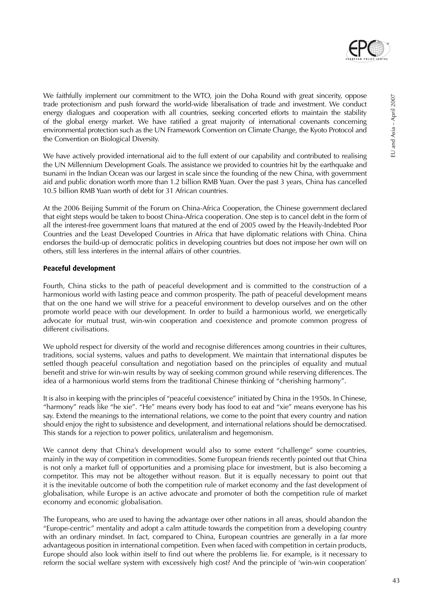

We faithfully implement our commitment to the WTO, join the Doha Round with great sincerity, oppose trade protectionism and push forward the world-wide liberalisation of trade and investment. We conduct energy dialogues and cooperation with all countries, seeking concerted efforts to maintain the stability of the global energy market. We have ratified a great majority of international covenants concerning environmental protection such as the UN Framework Convention on Climate Change, the Kyoto Protocol and the Convention on Biological Diversity.

We have actively provided international aid to the full extent of our capability and contributed to realising the UN Millennium Development Goals. The assistance we provided to countries hit by the earthquake and tsunami in the Indian Ocean was our largest in scale since the founding of the new China, with government aid and public donation worth more than 1.2 billion RMB Yuan. Over the past 3 years, China has cancelled 10.5 billion RMB Yuan worth of debt for 31 African countries.

At the 2006 Beijing Summit of the Forum on China-Africa Cooperation, the Chinese government declared that eight steps would be taken to boost China-Africa cooperation. One step is to cancel debt in the form of all the interest-free government loans that matured at the end of 2005 owed by the Heavily-Indebted Poor Countries and the Least Developed Countries in Africa that have diplomatic relations with China. China endorses the build-up of democratic politics in developing countries but does not impose her own will on others, still less interferes in the internal affairs of other countries.

#### **Peaceful development**

Fourth, China sticks to the path of peaceful development and is committed to the construction of a harmonious world with lasting peace and common prosperity. The path of peaceful development means that on the one hand we will strive for a peaceful environment to develop ourselves and on the other promote world peace with our development. In order to build a harmonious world, we energetically advocate for mutual trust, win-win cooperation and coexistence and promote common progress of different civilisations.

We uphold respect for diversity of the world and recognise differences among countries in their cultures, traditions, social systems, values and paths to development. We maintain that international disputes be settled though peaceful consultation and negotiation based on the principles of equality and mutual benefit and strive for win-win results by way of seeking common ground while reserving differences. The idea of a harmonious world stems from the traditional Chinese thinking of "cherishing harmony".

It is also in keeping with the principles of "peaceful coexistence" initiated by China in the 1950s. In Chinese, "harmony" reads like "he xie". "He" means every body has food to eat and "xie" means everyone has his say. Extend the meanings to the international relations, we come to the point that every country and nation should enjoy the right to subsistence and development, and international relations should be democratised. This stands for a rejection to power politics, unilateralism and hegemonism.

We cannot deny that China's development would also to some extent "challenge" some countries, mainly in the way of competition in commodities. Some European friends recently pointed out that China is not only a market full of opportunities and a promising place for investment, but is also becoming a competitor. This may not be altogether without reason. But it is equally necessary to point out that it is the inevitable outcome of both the competition rule of market economy and the fast development of globalisation, while Europe is an active advocate and promoter of both the competition rule of market economy and economic globalisation.

The Europeans, who are used to having the advantage over other nations in all areas, should abandon the "Europe-centric" mentality and adopt a calm attitude towards the competition from a developing country with an ordinary mindset. In fact, compared to China, European countries are generally in a far more advantageous position in international competition. Even when faced with competition in certain products, Europe should also look within itself to find out where the problems lie. For example, is it necessary to reform the social welfare system with excessively high cost? And the principle of 'win-win cooperation'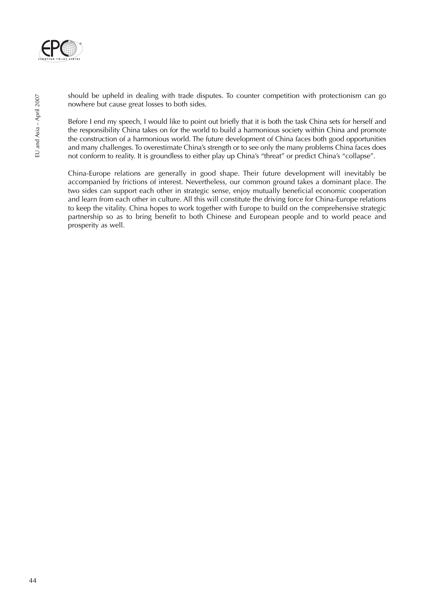

should be upheld in dealing with trade disputes. To counter competition with protectionism can go nowhere but cause great losses to both sides.

Before I end my speech, I would like to point out briefly that it is both the task China sets for herself and the responsibility China takes on for the world to build a harmonious society within China and promote the construction of a harmonious world. The future development of China faces both good opportunities and many challenges. To overestimate China's strength or to see only the many problems China faces does not conform to reality. It is groundless to either play up China's "threat" or predict China's "collapse".

China-Europe relations are generally in good shape. Their future development will inevitably be accompanied by frictions of interest. Nevertheless, our common ground takes a dominant place. The two sides can support each other in strategic sense, enjoy mutually beneficial economic cooperation and learn from each other in culture. All this will constitute the driving force for China-Europe relations to keep the vitality. China hopes to work together with Europe to build on the comprehensive strategic partnership so as to bring benefit to both Chinese and European people and to world peace and prosperity as well.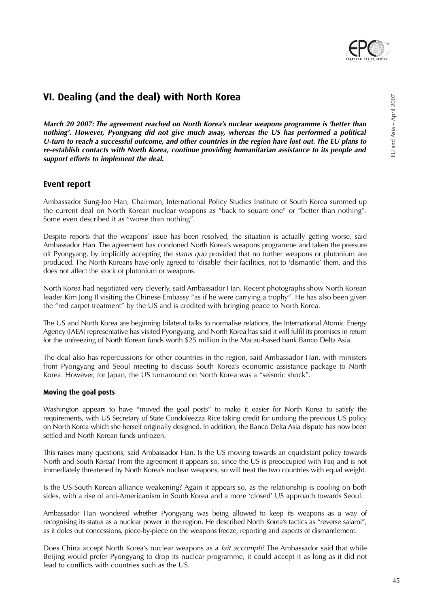

EU and Asia – April 2007

EU and Asia - April 2007

## **VI. Dealing (and the deal) with North Korea**

**March 20 2007: The agreement reached on North Korea's nuclear weapons programme is 'better than nothing'. However, Pyongyang did not give much away, whereas the US has performed a political U-turn to reach a successful outcome, and other countries in the region have lost out. The EU plans to re-establish contacts with North Korea, continue providing humanitarian assistance to its people and support efforts to implement the deal.**

## **Event report**

Ambassador Sung-Joo Han, Chairman, International Policy Studies Institute of South Korea summed up the current deal on North Korean nuclear weapons as "back to square one" or "better than nothing". Some even described it as "worse than nothing".

Despite reports that the weapons' issue has been resolved, the situation is actually getting worse, said Ambassador Han. The agreement has condoned North Korea's weapons programme and taken the pressure off Pyongyang, by implicitly accepting the status quo provided that no further weapons or plutonium are produced. The North Koreans have only agreed to 'disable' their facilities, not to 'dismantle' them, and this does not affect the stock of plutonium or weapons.

North Korea had negotiated very cleverly, said Ambassador Han. Recent photographs show North Korean leader Kim Jong Il visiting the Chinese Embassy "as if he were carrying a trophy". He has also been given the "red carpet treatment" by the US and is credited with bringing peace to North Korea.

The US and North Korea are beginning bilateral talks to normalise relations, the International Atomic Energy Agency (IAEA) representative has visited Pyongyang, and North Korea has said it will fulfil its promises in return for the unfreezing of North Korean funds worth \$25 million in the Macau-based bank Banco Delta Asia.

The deal also has repercussions for other countries in the region, said Ambassador Han, with ministers from Pyongyang and Seoul meeting to discuss South Korea's economic assistance package to North Korea. However, for Japan, the US turnaround on North Korea was a "seismic shock".

#### **Moving the goal posts**

Washington appears to have "moved the goal posts" to make it easier for North Korea to satisfy the requirements, with US Secretary of State Condoleezza Rice taking credit for undoing the previous US policy on North Korea which she herself originally designed. In addition, the Banco Delta Asia dispute has now been settled and North Korean funds unfrozen.

This raises many questions, said Ambassador Han. Is the US moving towards an equidistant policy towards North and South Korea? From the agreement it appears so, since the US is preoccupied with Iraq and is not immediately threatened by North Korea's nuclear weapons, so will treat the two countries with equal weight.

Is the US-South Korean alliance weakening? Again it appears so, as the relationship is cooling on both sides, with a rise of anti-Americanism in South Korea and a more 'closed' US approach towards Seoul.

Ambassador Han wondered whether Pyongyang was being allowed to keep its weapons as a way of recognising its status as a nuclear power in the region. He described North Korea's tactics as "reverse salami", as it doles out concessions, piece-by-piece on the weapons freeze, reporting and aspects of dismantlement.

Does China accept North Korea's nuclear weapons as a *fait accompli*? The Ambassador said that while Beijing would prefer Pyongyang to drop its nuclear programme, it could accept it as long as it did not lead to conflicts with countries such as the US.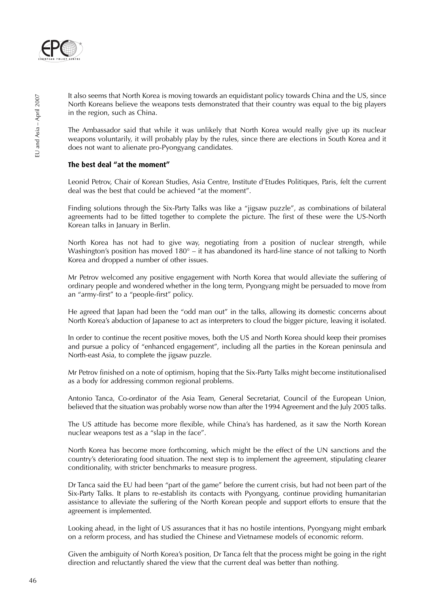

It also seems that North Korea is moving towards an equidistant policy towards China and the US, since North Koreans believe the weapons tests demonstrated that their country was equal to the big players in the region, such as China.

The Ambassador said that while it was unlikely that North Korea would really give up its nuclear weapons voluntarily, it will probably play by the rules, since there are elections in South Korea and it does not want to alienate pro-Pyongyang candidates.

#### **The best deal "at the moment"**

Leonid Petrov, Chair of Korean Studies, Asia Centre, Institute d'Etudes Politiques, Paris, felt the current deal was the best that could be achieved "at the moment".

Finding solutions through the Six-Party Talks was like a "jigsaw puzzle", as combinations of bilateral agreements had to be fitted together to complete the picture. The first of these were the US-North Korean talks in January in Berlin.

North Korea has not had to give way, negotiating from a position of nuclear strength, while Washington's position has moved  $180^\circ$  – it has abandoned its hard-line stance of not talking to North Korea and dropped a number of other issues.

Mr Petrov welcomed any positive engagement with North Korea that would alleviate the suffering of ordinary people and wondered whether in the long term, Pyongyang might be persuaded to move from an "army-first" to a "people-first" policy.

He agreed that Japan had been the "odd man out" in the talks, allowing its domestic concerns about North Korea's abduction of Japanese to act as interpreters to cloud the bigger picture, leaving it isolated.

In order to continue the recent positive moves, both the US and North Korea should keep their promises and pursue a policy of "enhanced engagement", including all the parties in the Korean peninsula and North-east Asia, to complete the jigsaw puzzle.

Mr Petrov finished on a note of optimism, hoping that the Six-Party Talks might become institutionalised as a body for addressing common regional problems.

Antonio Tanca, Co-ordinator of the Asia Team, General Secretariat, Council of the European Union, believed that the situation was probably worse now than after the 1994 Agreement and the July 2005 talks.

The US attitude has become more flexible, while China's has hardened, as it saw the North Korean nuclear weapons test as a "slap in the face".

North Korea has become more forthcoming, which might be the effect of the UN sanctions and the country's deteriorating food situation. The next step is to implement the agreement, stipulating clearer conditionality, with stricter benchmarks to measure progress.

Dr Tanca said the EU had been "part of the game" before the current crisis, but had not been part of the Six-Party Talks. It plans to re-establish its contacts with Pyongyang, continue providing humanitarian assistance to alleviate the suffering of the North Korean people and support efforts to ensure that the agreement is implemented.

Looking ahead, in the light of US assurances that it has no hostile intentions, Pyongyang might embark on a reform process, and has studied the Chinese and Vietnamese models of economic reform.

Given the ambiguity of North Korea's position, Dr Tanca felt that the process might be going in the right direction and reluctantly shared the view that the current deal was better than nothing.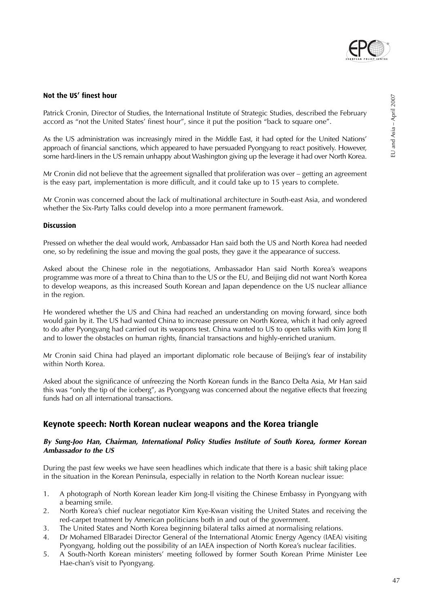

#### **Not the US' finest hour**

Patrick Cronin, Director of Studies, the International Institute of Strategic Studies, described the February accord as "not the United States' finest hour", since it put the position "back to square one".

As the US administration was increasingly mired in the Middle East, it had opted for the United Nations' approach of financial sanctions, which appeared to have persuaded Pyongyang to react positively. However, some hard-liners in the US remain unhappy about Washington giving up the leverage it had over North Korea.

Mr Cronin did not believe that the agreement signalled that proliferation was over – getting an agreement is the easy part, implementation is more difficult, and it could take up to 15 years to complete.

Mr Cronin was concerned about the lack of multinational architecture in South-east Asia, and wondered whether the Six-Party Talks could develop into a more permanent framework.

#### **Discussion**

Pressed on whether the deal would work, Ambassador Han said both the US and North Korea had needed one, so by redefining the issue and moving the goal posts, they gave it the appearance of success.

Asked about the Chinese role in the negotiations, Ambassador Han said North Korea's weapons programme was more of a threat to China than to the US or the EU, and Beijing did not want North Korea to develop weapons, as this increased South Korean and Japan dependence on the US nuclear alliance in the region.

He wondered whether the US and China had reached an understanding on moving forward, since both would gain by it. The US had wanted China to increase pressure on North Korea, which it had only agreed to do after Pyongyang had carried out its weapons test. China wanted to US to open talks with Kim Jong Il and to lower the obstacles on human rights, financial transactions and highly-enriched uranium.

Mr Cronin said China had played an important diplomatic role because of Beijing's fear of instability within North Korea.

Asked about the significance of unfreezing the North Korean funds in the Banco Delta Asia, Mr Han said this was "only the tip of the iceberg", as Pyongyang was concerned about the negative effects that freezing funds had on all international transactions.

### **Keynote speech: North Korean nuclear weapons and the Korea triangle**

#### **By Sung-Joo Han, Chairman, International Policy Studies Institute of South Korea, former Korean Ambassador to the US**

During the past few weeks we have seen headlines which indicate that there is a basic shift taking place in the situation in the Korean Peninsula, especially in relation to the North Korean nuclear issue:

- 1. A photograph of North Korean leader Kim Jong-Il visiting the Chinese Embassy in Pyongyang with a beaming smile.
- 2. North Korea's chief nuclear negotiator Kim Kye-Kwan visiting the United States and receiving the red-carpet treatment by American politicians both in and out of the government.
- 3. The United States and North Korea beginning bilateral talks aimed at normalising relations.
- 4. Dr Mohamed ElBaradei Director General of the International Atomic Energy Agency (IAEA) visiting Pyongyang, holding out the possibility of an IAEA inspection of North Korea's nuclear facilities.
- 5. A South-North Korean ministers' meeting followed by former South Korean Prime Minister Lee Hae-chan's visit to Pyongyang.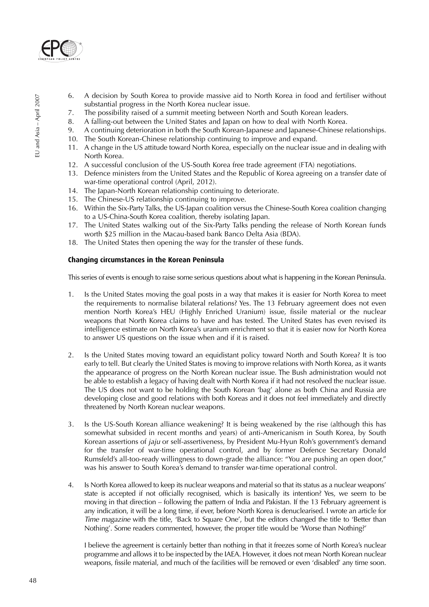

- 6. A decision by South Korea to provide massive aid to North Korea in food and fertiliser without substantial progress in the North Korea nuclear issue.
- 7. The possibility raised of a summit meeting between North and South Korean leaders.
- 8. A falling-out between the United States and Japan on how to deal with North Korea.
- 9. A continuing deterioration in both the South Korean-Japanese and Japanese-Chinese relationships.
- 10. The South Korean-Chinese relationship continuing to improve and expand.
- 11. A change in the US attitude toward North Korea, especially on the nuclear issue and in dealing with North Korea.
- 12. A successful conclusion of the US-South Korea free trade agreement (FTA) negotiations.
- 13. Defence ministers from the United States and the Republic of Korea agreeing on a transfer date of war-time operational control (April, 2012).
- 14. The Japan-North Korean relationship continuing to deteriorate.
- 15. The Chinese-US relationship continuing to improve.
- 16. Within the Six-Party Talks, the US-Japan coalition versus the Chinese-South Korea coalition changing to a US-China-South Korea coalition, thereby isolating Japan.
- 17. The United States walking out of the Six-Party Talks pending the release of North Korean funds worth \$25 million in the Macau-based bank Banco Delta Asia (BDA).
- 18. The United States then opening the way for the transfer of these funds.

#### **Changing circumstances in the Korean Peninsula**

This series of events is enough to raise some serious questions about what is happening in the Korean Peninsula.

- 1. Is the United States moving the goal posts in a way that makes it is easier for North Korea to meet the requirements to normalise bilateral relations? Yes. The 13 February agreement does not even mention North Korea's HEU (Highly Enriched Uranium) issue, fissile material or the nuclear weapons that North Korea claims to have and has tested. The United States has even revised its intelligence estimate on North Korea's uranium enrichment so that it is easier now for North Korea to answer US questions on the issue when and if it is raised.
- 2. Is the United States moving toward an equidistant policy toward North and South Korea? It is too early to tell. But clearly the United States is moving to improve relations with North Korea, as it wants the appearance of progress on the North Korean nuclear issue. The Bush administration would not be able to establish a legacy of having dealt with North Korea if it had not resolved the nuclear issue. The US does not want to be holding the South Korean 'bag' alone as both China and Russia are developing close and good relations with both Koreas and it does not feel immediately and directly threatened by North Korean nuclear weapons.
- 3. Is the US-South Korean alliance weakening? It is being weakened by the rise (although this has somewhat subsided in recent months and years) of anti-Americanism in South Korea, by South Korean assertions of jaju or self-assertiveness, by President Mu-Hyun Roh's government's demand for the transfer of war-time operational control, and by former Defence Secretary Donald Rumsfeld's all-too-ready willingness to down-grade the alliance: "You are pushing an open door," was his answer to South Korea's demand to transfer war-time operational control.
- 4. Is North Korea allowed to keep its nuclear weapons and material so that its status as a nuclear weapons' state is accepted if not officially recognised, which is basically its intention? Yes, we seem to be moving in that direction – following the pattern of India and Pakistan. If the 13 February agreement is any indication, it will be a long time, if ever, before North Korea is denuclearised. I wrote an article for Time magazine with the title, 'Back to Square One', but the editors changed the title to 'Better than Nothing'. Some readers commented, however, the proper title would be 'Worse than Nothing?'

I believe the agreement is certainly better than nothing in that it freezes some of North Korea's nuclear programme and allows it to be inspected by the IAEA. However, it does not mean North Korean nuclear weapons, fissile material, and much of the facilities will be removed or even 'disabled' any time soon.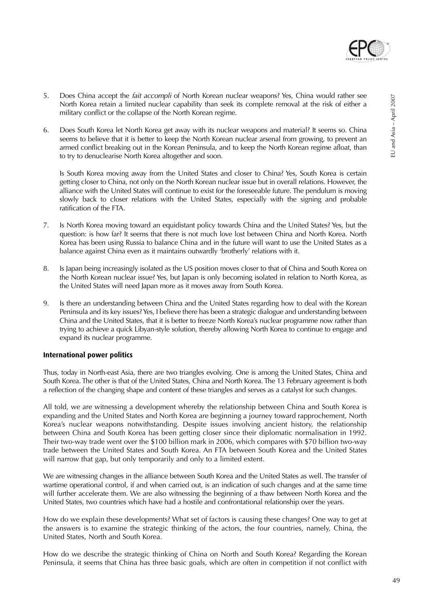

- 5. Does China accept the *fait accompli* of North Korean nuclear weapons? Yes, China would rather see North Korea retain a limited nuclear capability than seek its complete removal at the risk of either a military conflict or the collapse of the North Korean regime.
- 6. Does South Korea let North Korea get away with its nuclear weapons and material? It seems so. China seems to believe that it is better to keep the North Korean nuclear arsenal from growing, to prevent an armed conflict breaking out in the Korean Peninsula, and to keep the North Korean regime afloat, than to try to denuclearise North Korea altogether and soon.

Is South Korea moving away from the United States and closer to China? Yes, South Korea is certain getting closer to China, not only on the North Korean nuclear issue but in overall relations. However, the alliance with the United States will continue to exist for the foreseeable future. The pendulum is moving slowly back to closer relations with the United States, especially with the signing and probable ratification of the FTA.

- 7. Is North Korea moving toward an equidistant policy towards China and the United States? Yes, but the question: is how far? It seems that there is not much love lost between China and North Korea. North Korea has been using Russia to balance China and in the future will want to use the United States as a balance against China even as it maintains outwardly 'brotherly' relations with it.
- 8. Is Japan being increasingly isolated as the US position moves closer to that of China and South Korea on the North Korean nuclear issue? Yes, but Japan is only becoming isolated in relation to North Korea, as the United States will need Japan more as it moves away from South Korea.
- 9. Is there an understanding between China and the United States regarding how to deal with the Korean Peninsula and its key issues? Yes, I believe there has been a strategic dialogue and understanding between China and the United States, that it is better to freeze North Korea's nuclear programme now rather than trying to achieve a quick Libyan-style solution, thereby allowing North Korea to continue to engage and expand its nuclear programme.

#### **International power politics**

Thus, today in North-east Asia, there are two triangles evolving. One is among the United States, China and South Korea. The other is that of the United States, China and North Korea. The 13 February agreement is both a reflection of the changing shape and content of these triangles and serves as a catalyst for such changes.

All told, we are witnessing a development whereby the relationship between China and South Korea is expanding and the United States and North Korea are beginning a journey toward rapprochement, North Korea's nuclear weapons notwithstanding. Despite issues involving ancient history, the relationship between China and South Korea has been getting closer since their diplomatic normalisation in 1992. Their two-way trade went over the \$100 billion mark in 2006, which compares with \$70 billion two-way trade between the United States and South Korea. An FTA between South Korea and the United States will narrow that gap, but only temporarily and only to a limited extent.

We are witnessing changes in the alliance between South Korea and the United States as well. The transfer of wartime operational control, if and when carried out, is an indication of such changes and at the same time will further accelerate them. We are also witnessing the beginning of a thaw between North Korea and the United States, two countries which have had a hostile and confrontational relationship over the years.

How do we explain these developments? What set of factors is causing these changes? One way to get at the answers is to examine the strategic thinking of the actors, the four countries, namely, China, the United States, North and South Korea.

How do we describe the strategic thinking of China on North and South Korea? Regarding the Korean Peninsula, it seems that China has three basic goals, which are often in competition if not conflict with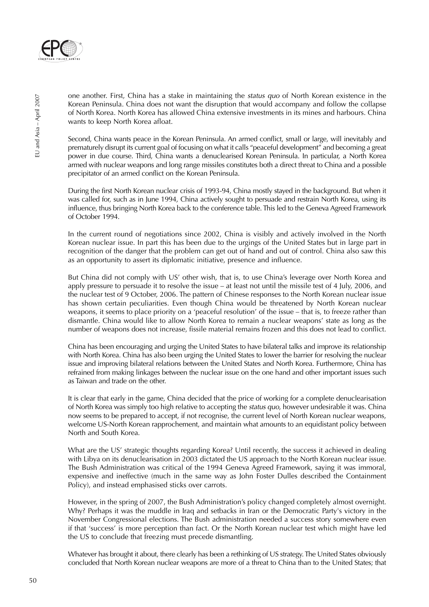

one another. First, China has a stake in maintaining the status quo of North Korean existence in the Korean Peninsula. China does not want the disruption that would accompany and follow the collapse of North Korea. North Korea has allowed China extensive investments in its mines and harbours. China wants to keep North Korea afloat.

Second, China wants peace in the Korean Peninsula. An armed conflict, small or large, will inevitably and prematurely disrupt its current goal of focusing on what it calls "peaceful development" and becoming a great power in due course. Third, China wants a denuclearised Korean Peninsula. In particular, a North Korea armed with nuclear weapons and long range missiles constitutes both a direct threat to China and a possible precipitator of an armed conflict on the Korean Peninsula.

During the first North Korean nuclear crisis of 1993-94, China mostly stayed in the background. But when it was called for, such as in June 1994, China actively sought to persuade and restrain North Korea, using its influence, thus bringing North Korea back to the conference table. This led to the Geneva Agreed Framework of October 1994.

In the current round of negotiations since 2002, China is visibly and actively involved in the North Korean nuclear issue. In part this has been due to the urgings of the United States but in large part in recognition of the danger that the problem can get out of hand and out of control. China also saw this as an opportunity to assert its diplomatic initiative, presence and influence.

But China did not comply with US' other wish, that is, to use China's leverage over North Korea and apply pressure to persuade it to resolve the issue – at least not until the missile test of 4 July, 2006, and the nuclear test of 9 October, 2006. The pattern of Chinese responses to the North Korean nuclear issue has shown certain peculiarities. Even though China would be threatened by North Korean nuclear weapons, it seems to place priority on a 'peaceful resolution' of the issue – that is, to freeze rather than dismantle. China would like to allow North Korea to remain a nuclear weapons' state as long as the number of weapons does not increase, fissile material remains frozen and this does not lead to conflict.

China has been encouraging and urging the United States to have bilateral talks and improve its relationship with North Korea. China has also been urging the United States to lower the barrier for resolving the nuclear issue and improving bilateral relations between the United States and North Korea. Furthermore, China has refrained from making linkages between the nuclear issue on the one hand and other important issues such as Taiwan and trade on the other.

It is clear that early in the game, China decided that the price of working for a complete denuclearisation of North Korea was simply too high relative to accepting the status quo, however undesirable it was. China now seems to be prepared to accept, if not recognise, the current level of North Korean nuclear weapons, welcome US-North Korean rapprochement, and maintain what amounts to an equidistant policy between North and South Korea.

What are the US' strategic thoughts regarding Korea? Until recently, the success it achieved in dealing with Libya on its denuclearisation in 2003 dictated the US approach to the North Korean nuclear issue. The Bush Administration was critical of the 1994 Geneva Agreed Framework, saying it was immoral, expensive and ineffective (much in the same way as John Foster Dulles described the Containment Policy), and instead emphasised sticks over carrots.

However, in the spring of 2007, the Bush Administration's policy changed completely almost overnight. Why? Perhaps it was the muddle in Iraq and setbacks in Iran or the Democratic Party's victory in the November Congressional elections. The Bush administration needed a success story somewhere even if that 'success' is more perception than fact. Or the North Korean nuclear test which might have led the US to conclude that freezing must precede dismantling.

Whatever has brought it about, there clearly has been a rethinking of US strategy. The United States obviously concluded that North Korean nuclear weapons are more of a threat to China than to the United States; that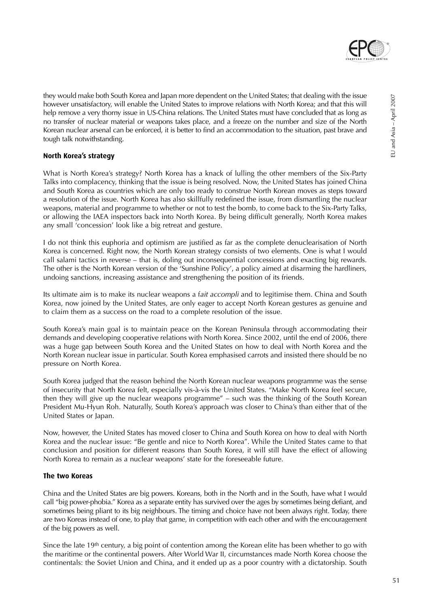

they would make both South Korea and Japan more dependent on the United States; that dealing with the issue however unsatisfactory, will enable the United States to improve relations with North Korea; and that this will help remove a very thorny issue in US-China relations. The United States must have concluded that as long as no transfer of nuclear material or weapons takes place, and a freeze on the number and size of the North Korean nuclear arsenal can be enforced, it is better to find an accommodation to the situation, past brave and

### **North Korea's strategy**

tough talk notwithstanding.

What is North Korea's strategy? North Korea has a knack of lulling the other members of the Six-Party Talks into complacency, thinking that the issue is being resolved. Now, the United States has joined China and South Korea as countries which are only too ready to construe North Korean moves as steps toward a resolution of the issue. North Korea has also skillfully redefined the issue, from dismantling the nuclear weapons, material and programme to whether or not to test the bomb, to come back to the Six-Party Talks, or allowing the IAEA inspectors back into North Korea. By being difficult generally, North Korea makes any small 'concession' look like a big retreat and gesture.

I do not think this euphoria and optimism are justified as far as the complete denuclearisation of North Korea is concerned. Right now, the North Korean strategy consists of two elements. One is what I would call salami tactics in reverse – that is, doling out inconsequential concessions and exacting big rewards. The other is the North Korean version of the 'Sunshine Policy', a policy aimed at disarming the hardliners, undoing sanctions, increasing assistance and strengthening the position of its friends.

Its ultimate aim is to make its nuclear weapons a fait accompli and to legitimise them. China and South Korea, now joined by the United States, are only eager to accept North Korean gestures as genuine and to claim them as a success on the road to a complete resolution of the issue.

South Korea's main goal is to maintain peace on the Korean Peninsula through accommodating their demands and developing cooperative relations with North Korea. Since 2002, until the end of 2006, there was a huge gap between South Korea and the United States on how to deal with North Korea and the North Korean nuclear issue in particular. South Korea emphasised carrots and insisted there should be no pressure on North Korea.

South Korea judged that the reason behind the North Korean nuclear weapons programme was the sense of insecurity that North Korea felt, especially vis-à-vis the United States. "Make North Korea feel secure, then they will give up the nuclear weapons programme" – such was the thinking of the South Korean President Mu-Hyun Roh. Naturally, South Korea's approach was closer to China's than either that of the United States or Japan.

Now, however, the United States has moved closer to China and South Korea on how to deal with North Korea and the nuclear issue: "Be gentle and nice to North Korea". While the United States came to that conclusion and position for different reasons than South Korea, it will still have the effect of allowing North Korea to remain as a nuclear weapons' state for the foreseeable future.

#### **The two Koreas**

China and the United States are big powers. Koreans, both in the North and in the South, have what I would call "big power-phobia." Korea as a separate entity has survived over the ages by sometimes being defiant, and sometimes being pliant to its big neighbours. The timing and choice have not been always right. Today, there are two Koreas instead of one, to play that game, in competition with each other and with the encouragement of the big powers as well.

Since the late 19<sup>th</sup> century, a big point of contention among the Korean elite has been whether to go with the maritime or the continental powers. After World War II, circumstances made North Korea choose the continentals: the Soviet Union and China, and it ended up as a poor country with a dictatorship. South